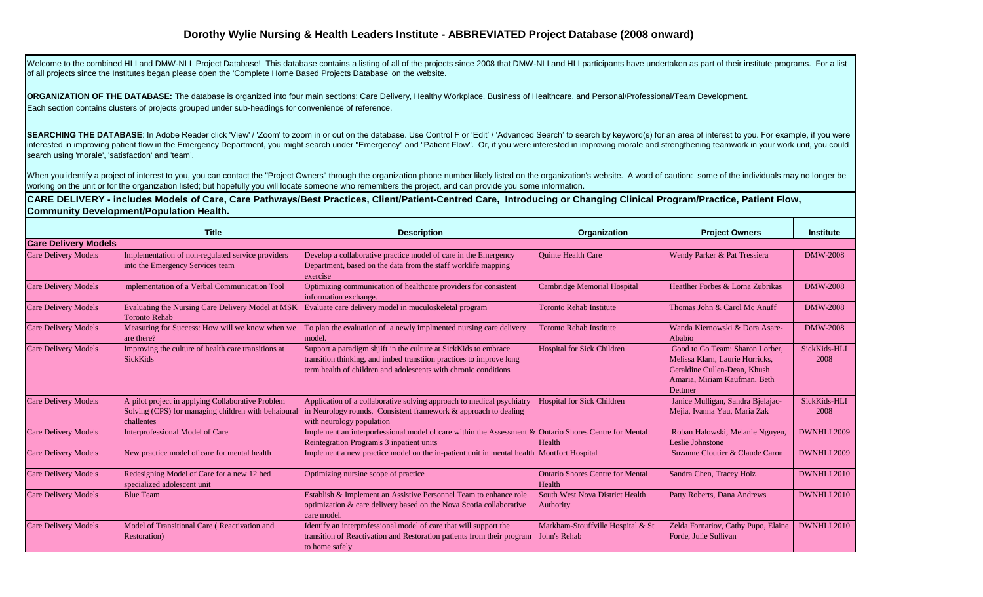## **Dorothy Wylie Nursing & Health Leaders Institute - ABBREVIATED Project Database (2008 onward)**

Welcome to the combined HLI and DMW-NLI Project Database! This database contains a listing of all of the projects since 2008 that DMW-NLI and HLI participants have undertaken as part of their institute programs. For a list of all projects since the Institutes began please open the 'Complete Home Based Projects Database' on the website.

**ORGANIZATION OF THE DATABASE:** The database is organized into four main sections: Care Delivery, Healthy Workplace, Business of Healthcare, and Personal/Professional/Team Development. Each section contains clusters of projects grouped under sub-headings for convenience of reference.

SEARCHING THE DATABASE: In Adobe Reader click 'View' / 'Zoom' to zoom in or out on the database. Use Control F or 'Edit' / 'Advanced Search' to search by keyword(s) for an area of interest to you. For example, if you were interested in improving patient flow in the Emergency Department, you might search under "Emergency" and "Patient Flow". Or, if you were interested in improving morale and strengthening teamwork in your work unit, you could search using 'morale', 'satisfaction' and 'team'.

When you identify a project of interest to you, you can contact the "Project Owners" through the organization phone number likely listed on the organization's website. A word of caution: some of the individuals may no long working on the unit or for the organization listed; but hopefully you will locate someone who remembers the project, and can provide you some information.

**CARE DELIVERY - includes Models of Care, Care Pathways/Best Practices, Client/Patient-Centred Care, Introducing or Changing Clinical Program/Practice, Patient Flow, Community Development/Population Health.**

|                             | <b>Title</b>                                                                                                           | <b>Description</b>                                                                                                                                                                                       | <b>Organization</b>                               | <b>Project Owners</b>                                                                                                                         | <b>Institute</b>     |
|-----------------------------|------------------------------------------------------------------------------------------------------------------------|----------------------------------------------------------------------------------------------------------------------------------------------------------------------------------------------------------|---------------------------------------------------|-----------------------------------------------------------------------------------------------------------------------------------------------|----------------------|
| <b>Care Delivery Models</b> |                                                                                                                        |                                                                                                                                                                                                          |                                                   |                                                                                                                                               |                      |
| Care Delivery Models        | Implementation of non-regulated service providers<br>into the Emergency Services team                                  | Develop a collaborative practice model of care in the Emergency<br>Department, based on the data from the staff worklife mapping<br>exercise                                                             | <b>Ouinte Health Care</b>                         | Wendy Parker & Pat Tressiera                                                                                                                  | <b>DMW-2008</b>      |
| Care Delivery Models        | mplementation of a Verbal Communication Tool                                                                           | Optimizing communication of healthcare providers for consistent<br>information exchange.                                                                                                                 | <b>Cambridge Memorial Hospital</b>                | Heatlher Forbes & Lorna Zubrikas                                                                                                              | <b>DMW-2008</b>      |
| Care Delivery Models        | Evaluating the Nursing Care Delivery Model at MSK<br><b>Toronto Rehab</b>                                              | Evaluate care delivery model in muculoskeletal program                                                                                                                                                   | <b>Toronto Rehab Institute</b>                    | Thomas John & Carol Mc Anuff                                                                                                                  | <b>DMW-2008</b>      |
| Care Delivery Models        | Measuring for Success: How will we know when we<br>are there?                                                          | To plan the evaluation of a newly implmented nursing care delivery<br>model.                                                                                                                             | <b>Toronto Rehab Institute</b>                    | Wanda Kiernowski & Dora Asare-<br>Ababio                                                                                                      | <b>DMW-2008</b>      |
| Care Delivery Models        | Improving the culture of health care transitions at<br><b>SickKids</b>                                                 | Support a paradigm shift in the culture at SickKids to embrace<br>transition thinking, and imbed transtiion practices to improve long<br>term health of children and adolescents with chronic conditions | <b>Hospital for Sick Children</b>                 | Good to Go Team: Sharon Lorber,<br>Melissa Klarn, Laurie Horricks,<br>Geraldine Cullen-Dean, Khush<br>Amaria, Miriam Kaufman, Beth<br>Dettmer | SickKids-HLI<br>2008 |
| Care Delivery Models        | A pilot project in applying Collaborative Problem<br>Solving (CPS) for managing children with behaioural<br>challentes | Application of a collaborative solving approach to medical psychiatry<br>in Neurology rounds. Consistent framework & approach to dealing<br>with neurology population                                    | <b>Hospital for Sick Children</b>                 | Janice Mulligan, Sandra Bjelajac-<br>Mejia, Ivanna Yau, Maria Zak                                                                             | SickKids-HLI<br>2008 |
| Care Delivery Models        | Interprofessional Model of Care                                                                                        | Implement an interporfessional model of care within the Assessment $\&$ Ontario Shores Centre for Mental<br>Reintegration Program's 3 inpatient units                                                    | Health                                            | Roban Halowski, Melanie Nguyen,<br>Leslie Johnstone                                                                                           | <b>DWNHLI 2009</b>   |
| Care Delivery Models        | New practice model of care for mental health                                                                           | Implement a new practice model on the in-patient unit in mental health Montfort Hospital                                                                                                                 |                                                   | Suzanne Cloutier & Claude Caron                                                                                                               | <b>DWNHLI 2009</b>   |
| <b>Care Delivery Models</b> | Redesigning Model of Care for a new 12 bed<br>specialized adolescent unit                                              | Optimizing nursine scope of practice                                                                                                                                                                     | <b>Ontario Shores Centre for Mental</b><br>Health | Sandra Chen, Tracey Holz                                                                                                                      | DWNHLI 2010          |
| Care Delivery Models        | <b>Blue Team</b>                                                                                                       | Establish & Implement an Assistive Personnel Team to enhance role<br>optimization & care delivery based on the Nova Scotia collaborative<br>care model.                                                  | South West Nova District Health<br>Authority      | Patty Roberts, Dana Andrews                                                                                                                   | DWNHLI 2010          |
| <b>Care Delivery Models</b> | Model of Transitional Care (Reactivation and<br>Restoration)                                                           | Identify an interprofessional model of care that will support the<br>transition of Reactivation and Restoration patients from their program<br>to home safely                                            | Markham-Stouffville Hospital & St<br>John's Rehab | Zelda Fornariov, Cathy Pupo, Elaine<br>Forde, Julie Sullivan                                                                                  | DWNHLI 2010          |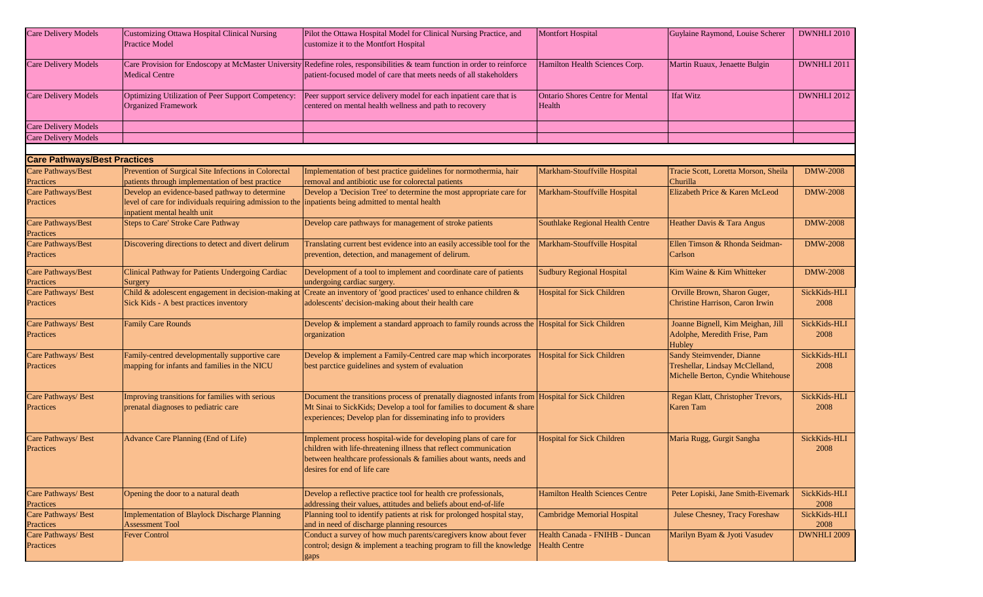| <b>Care Delivery Models</b>                   | Customizing Ottawa Hospital Clinical Nursing<br><b>Practice Model</b>                                                                                                                 | Pilot the Ottawa Hospital Model for Clinical Nursing Practice, and<br>customize it to the Montfort Hospital                                                                                                                                 | <b>Montfort Hospital</b>                               | Guylaine Raymond, Louise Scherer                                                                   | DWNHLI 2010          |
|-----------------------------------------------|---------------------------------------------------------------------------------------------------------------------------------------------------------------------------------------|---------------------------------------------------------------------------------------------------------------------------------------------------------------------------------------------------------------------------------------------|--------------------------------------------------------|----------------------------------------------------------------------------------------------------|----------------------|
| <b>Care Delivery Models</b>                   | <b>Medical Centre</b>                                                                                                                                                                 | Care Provision for Endoscopy at McMaster University Redefine roles, responsibilities & team function in order to reinforce<br>patient-focused model of care that meets needs of all stakeholders                                            | Hamilton Health Sciences Corp.                         | Martin Ruaux, Jenaette Bulgin                                                                      | DWNHLI 2011          |
| <b>Care Delivery Models</b>                   | Optimizing Utilization of Peer Support Competency:<br><b>Organized Framework</b>                                                                                                      | Peer support service delivery model for each inpatient care that is<br>centered on mental health wellness and path to recovery                                                                                                              | <b>Ontario Shores Centre for Mental</b><br>Health      | <b>Ifat Witz</b>                                                                                   | DWNHLI 2012          |
| <b>Care Delivery Models</b>                   |                                                                                                                                                                                       |                                                                                                                                                                                                                                             |                                                        |                                                                                                    |                      |
| <b>Care Delivery Models</b>                   |                                                                                                                                                                                       |                                                                                                                                                                                                                                             |                                                        |                                                                                                    |                      |
|                                               |                                                                                                                                                                                       |                                                                                                                                                                                                                                             |                                                        |                                                                                                    |                      |
| <b>Care Pathways/Best Practices</b>           |                                                                                                                                                                                       |                                                                                                                                                                                                                                             |                                                        |                                                                                                    |                      |
| Care Pathways/Best<br>Practices               | Prevention of Surgical Site Infections in Colorectal<br>patients through implementation of best practice                                                                              | Implementation of best practice guidelines for normothermia, hair<br>removal and antibiotic use for colorectal patients                                                                                                                     | Markham-Stouffville Hospital                           | Tracie Scott, Loretta Morson, Sheila<br>Churilla                                                   | <b>DMW-2008</b>      |
| <b>Care Pathways/Best</b><br>Practices        | Develop an evidence-based pathway to determine<br>level of care for individuals requiring admission to the inpatients being admitted to mental health<br>inpatient mental health unit | Develop a 'Decision Tree' to determine the most appropriate care for                                                                                                                                                                        | Markham-Stouffville Hospital                           | Elizabeth Price & Karen McLeod                                                                     | <b>DMW-2008</b>      |
| <b>Care Pathways/Best</b><br><b>Practices</b> | <b>Steps to Care' Stroke Care Pathway</b>                                                                                                                                             | Develop care pathways for management of stroke patients                                                                                                                                                                                     | Southlake Regional Health Centre                       | Heather Davis & Tara Angus                                                                         | <b>DMW-2008</b>      |
| Care Pathways/Best<br>Practices               | Discovering directions to detect and divert delirum                                                                                                                                   | Translating current best evidence into an easily accessible tool for the<br>prevention, detection, and management of delirum.                                                                                                               | Markham-Stouffville Hospital                           | Ellen Timson & Rhonda Seidman-<br>Carlson                                                          | <b>DMW-2008</b>      |
| Care Pathways/Best<br>Practices               | Clinical Pathway for Patients Undergoing Cardiac<br>Surgery                                                                                                                           | Development of a tool to implement and coordinate care of patients<br>undergoing cardiac surgery.                                                                                                                                           | <b>Sudbury Regional Hospital</b>                       | Kim Waine & Kim Whitteker                                                                          | <b>DMW-2008</b>      |
| Care Pathways/ Best<br>Practices              | Child & adolescent engagement in decision-making at<br>Sick Kids - A best practices inventory                                                                                         | Create an inventory of 'good practices' used to enhance children &<br>adolescents' decision-making about their health care                                                                                                                  | <b>Hospital for Sick Children</b>                      | Orville Brown, Sharon Guger,<br>Christine Harrison, Caron Irwin                                    | SickKids-HLI<br>2008 |
| Care Pathways/ Best<br>Practices              | <b>Family Care Rounds</b>                                                                                                                                                             | Develop & implement a standard approach to family rounds across the Hospital for Sick Children<br>organization                                                                                                                              |                                                        | Joanne Bignell, Kim Meighan, Jill<br>Adolphe, Meredith Frise, Pam<br>Hubley                        | SickKids-HLI<br>2008 |
| Care Pathways/ Best<br>Practices              | Family-centred developmentally supportive care<br>mapping for infants and families in the NICU                                                                                        | Develop & implement a Family-Centred care map which incorporates<br>best parctice guidelines and system of evaluation                                                                                                                       | <b>Hospital for Sick Children</b>                      | Sandy Steimvender, Dianne<br>Treshellar, Lindsay McClelland,<br>Michelle Berton, Cyndie Whitehouse | SickKids-HLI<br>2008 |
| Care Pathways/ Best<br>Practices              | Improving transitions for families with serious<br>prenatal diagnoses to pediatric care                                                                                               | Document the transitions process of prenatally diagnosted infants from Hospital for Sick Children<br>Mt Sinai to SickKids; Develop a tool for families to document & share<br>experiences; Develop plan for disseminating info to providers |                                                        | Regan Klatt, Christopher Trevors,<br><b>Karen</b> Tam                                              | SickKids-HLI<br>2008 |
| Care Pathways/ Best<br>Practices              | Advance Care Planning (End of Life)                                                                                                                                                   | Implement process hospital-wide for developing plans of care for<br>children with life-threatening illness that reflect communication<br>between healthcare professionals & families about wants, needs and<br>desires for end of life care | <b>Hospital for Sick Children</b>                      | Maria Rugg, Gurgit Sangha                                                                          | SickKids-HLI<br>2008 |
| Care Pathways/ Best<br>Practices              | Opening the door to a natural death                                                                                                                                                   | Develop a reflective practice tool for health cre professionals,<br>addressing their values, attitudes and beliefs about end-of-life                                                                                                        | <b>Hamilton Health Sciences Centre</b>                 | Peter Lopiski, Jane Smith-Eivemark                                                                 | SickKids-HLI<br>2008 |
| Care Pathways/ Best<br>Practices              | Implementation of Blaylock Discharge Planning<br><b>Assessment Tool</b>                                                                                                               | Planning tool to identify patients at risk for prolonged hospital stay,<br>and in need of discharge planning resources                                                                                                                      | Cambridge Memorial Hospital                            | Julese Chesney, Tracy Foreshaw                                                                     | SickKids-HLI<br>2008 |
| Care Pathways/ Best<br>Practices              | <b>Fever Control</b>                                                                                                                                                                  | Conduct a survey of how much parents/caregivers know about fever<br>control; design & implement a teaching program to fill the knowledge<br>gaps                                                                                            | Health Canada - FNIHB - Duncan<br><b>Health Centre</b> | Marilyn Byam & Jyoti Vasudev                                                                       | DWNHLI 2009          |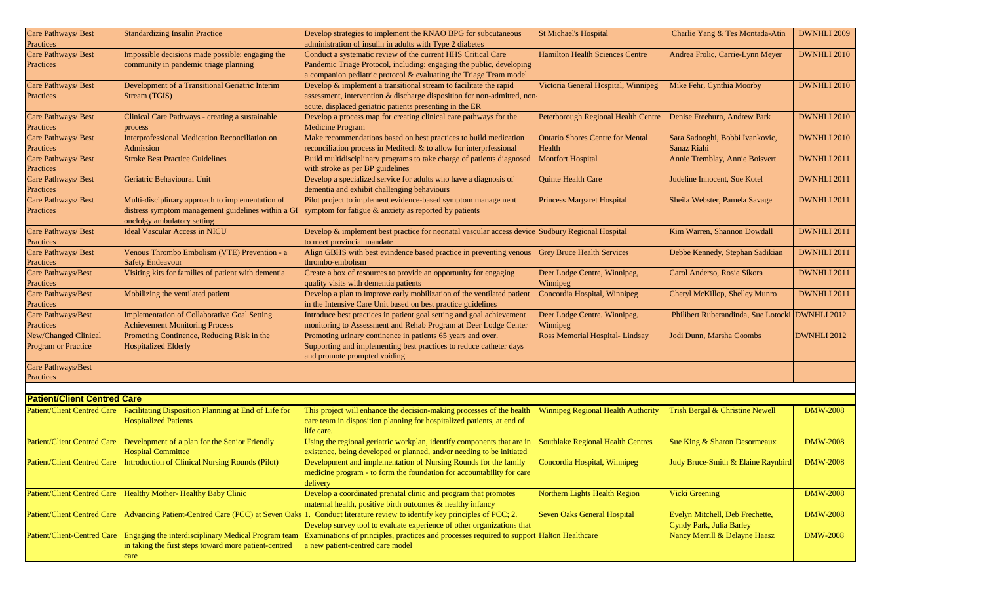| Care Pathways/ Best                | <b>Standardizing Insulin Practice</b>                 | Develop strategies to implement the RNAO BPG for subcutaneous                                                         | <b>St Michael's Hospital</b>                                       | Charlie Yang & Tes Montada-Atin     | DWNHLI 2009     |
|------------------------------------|-------------------------------------------------------|-----------------------------------------------------------------------------------------------------------------------|--------------------------------------------------------------------|-------------------------------------|-----------------|
| Practices                          |                                                       | administration of insulin in adults with Type 2 diabetes                                                              |                                                                    |                                     |                 |
| Care Pathways/ Best                | Impossible decisions made possible; engaging the      | Conduct a systematic review of the current HHS Critical Care                                                          | <b>Hamilton Health Sciences Centre</b>                             | Andrea Frolic, Carrie-Lynn Meyer    | DWNHLI 2010     |
| Practices                          | community in pandemic triage planning                 | Pandemic Triage Protocol, including: engaging the public, developing                                                  |                                                                    |                                     |                 |
|                                    |                                                       | a companion pediatric protocol & evaluating the Triage Team model                                                     |                                                                    |                                     |                 |
| Care Pathways/ Best                | Development of a Transitional Geriatric Interim       | Develop & implement a transitional stream to facilitate the rapid                                                     | Victoria General Hospital, Winnipeg                                | Mike Fehr, Cynthia Moorby           | DWNHLI 2010     |
|                                    |                                                       |                                                                                                                       |                                                                    |                                     |                 |
| Practices                          | Stream (TGIS)                                         | assessment, intervention & discharge disposition for non-admitted, non                                                |                                                                    |                                     |                 |
|                                    |                                                       | acute, displaced geriatric patients presenting in the ER                                                              |                                                                    |                                     |                 |
| Care Pathways/ Best                | Clinical Care Pathways - creating a sustainable       | Develop a process map for creating clinical care pathways for the                                                     | Peterborough Regional Health Centre   Denise Freeburn, Andrew Park |                                     | DWNHLI 2010     |
| Practices                          | process                                               | <b>Medicine Program</b>                                                                                               |                                                                    |                                     |                 |
|                                    | Interprofessional Medication Reconciliation on        |                                                                                                                       |                                                                    |                                     | DWNHLI 2010     |
| Care Pathways/ Best                |                                                       | Make recommendations based on best practices to build medication                                                      | <b>Ontario Shores Centre for Mental</b>                            | Sara Sadooghi, Bobbi Ivankovic,     |                 |
| Practices                          | Admission                                             | reconciliation process in Meditech & to allow for interprfessional                                                    | Health                                                             | Sanaz Riahi                         |                 |
| Care Pathways/ Best                | <b>Stroke Best Practice Guidelines</b>                | Build multidisciplinary programs to take charge of patients diagnosed                                                 | <b>Montfort Hospital</b>                                           | Annie Tremblay, Annie Boisvert      | DWNHLI 2011     |
| Practices                          |                                                       | with stroke as per BP guidelines                                                                                      |                                                                    |                                     |                 |
| Care Pathways/ Best                | Geriatric Behavioural Unit                            | Develop a specialized service for adults who have a diagnosis of                                                      | Quinte Health Care                                                 | Judeline Innocent, Sue Kotel        | DWNHLI 2011     |
|                                    |                                                       |                                                                                                                       |                                                                    |                                     |                 |
| Practices                          |                                                       | dementia and exhibit challenging behaviours                                                                           |                                                                    |                                     |                 |
| Care Pathways/ Best                | Multi-disciplinary approach to implementation of      | Pilot project to implement evidence-based symptom management                                                          | <b>Princess Margaret Hospital</b>                                  | Sheila Webster, Pamela Savage       | DWNHLI 2011     |
| Practices                          | distress symptom management guidelines within a GI    | symptom for fatigue & anxiety as reported by patients                                                                 |                                                                    |                                     |                 |
|                                    | onclolgy ambulatory setting                           |                                                                                                                       |                                                                    |                                     |                 |
| Care Pathways/ Best                | <b>Ideal Vascular Access in NICU</b>                  | Develop & implement best practice for neonatal vascular access device Sudbury Regional Hospital                       |                                                                    | Kim Warren, Shannon Dowdall         | DWNHLI 2011     |
|                                    |                                                       |                                                                                                                       |                                                                    |                                     |                 |
| Practices                          |                                                       | to meet provincial mandate                                                                                            |                                                                    |                                     |                 |
| Care Pathways/ Best                | Venous Thrombo Embolism (VTE) Prevention - a          | Align GBHS with best evindence based practice in preventing venous                                                    | <b>Grey Bruce Health Services</b>                                  | Debbe Kennedy, Stephan Sadikian     | DWNHLI 2011     |
| Practices                          | <b>Safety Endeavour</b>                               | thrombo-embolism                                                                                                      |                                                                    |                                     |                 |
| Care Pathways/Best                 | Visiting kits for families of patient with dementia   | Create a box of resources to provide an opportunity for engaging                                                      | Deer Lodge Centre, Winnipeg,                                       | Carol Anderso, Rosie Sikora         | DWNHLI 2011     |
| Practices                          |                                                       | quality visits with dementia patients                                                                                 | Winnipeg                                                           |                                     |                 |
|                                    |                                                       |                                                                                                                       |                                                                    |                                     |                 |
| Care Pathways/Best                 | Mobilizing the ventilated patient                     | Develop a plan to improve early mobilization of the ventilated patient                                                | Concordia Hospital, Winnipeg                                       | Cheryl McKillop, Shelley Munro      | DWNHLI 2011     |
| Practices                          |                                                       | in the Intensive Care Unit based on best practice guidelines                                                          |                                                                    |                                     |                 |
| Care Pathways/Best                 | <b>Implementation of Collaborative Goal Setting</b>   | Introduce best practices in patient goal setting and goal achievement                                                 | Deer Lodge Centre, Winnipeg,                                       | Philibert Ruberandinda, Sue Lotocki | DWNHLI 2012     |
| Practices                          | <b>Achievement Monitoring Process</b>                 | monitoring to Assessment and Rehab Program at Deer Lodge Center                                                       | Winnipeg                                                           |                                     |                 |
| New/Changed Clinical               | Promoting Continence, Reducing Risk in the            | Promoting urinary continence in patients 65 years and over.                                                           | Ross Memorial Hospital-Lindsay                                     | Jodi Dunn, Marsha Coombs            | DWNHLI 2012     |
|                                    |                                                       |                                                                                                                       |                                                                    |                                     |                 |
| Program or Practice                | <b>Hospitalized Elderly</b>                           | Supporting and implementing best practices to reduce catheter days                                                    |                                                                    |                                     |                 |
|                                    |                                                       | and promote prompted voiding                                                                                          |                                                                    |                                     |                 |
| Care Pathways/Best                 |                                                       |                                                                                                                       |                                                                    |                                     |                 |
| Practices                          |                                                       |                                                                                                                       |                                                                    |                                     |                 |
|                                    |                                                       |                                                                                                                       |                                                                    |                                     |                 |
|                                    |                                                       |                                                                                                                       |                                                                    |                                     |                 |
| <b>Patient/Client Centred Care</b> |                                                       |                                                                                                                       |                                                                    |                                     |                 |
| <b>Patient/Client Centred Care</b> | Facilitating Disposition Planning at End of Life for  | This project will enhance the decision-making processes of the health                                                 | <b>Winnipeg Regional Health Authority</b>                          | Trish Bergal & Christine Newell     | <b>DMW-2008</b> |
|                                    | <b>Hospitalized Patients</b>                          | care team in disposition planning for hospitalized patients, at end of                                                |                                                                    |                                     |                 |
|                                    |                                                       | life care.                                                                                                            |                                                                    |                                     |                 |
|                                    |                                                       |                                                                                                                       |                                                                    |                                     | <b>DMW-2008</b> |
| <b>Patient/Client Centred Care</b> | Development of a plan for the Senior Friendly         | Using the regional geriatric workplan, identify components that are in                                                | <b>Southlake Regional Health Centres</b>                           | Sue King & Sharon Desormeaux        |                 |
|                                    | <b>Hospital Committee</b>                             | existence, being developed or planned, and/or needing to be initiated                                                 |                                                                    |                                     |                 |
| Patient/Client Centred Care        | Introduction of Clinical Nursing Rounds (Pilot)       | Development and implementation of Nursing Rounds for the family                                                       | Concordia Hospital, Winnipeg                                       | Judy Bruce-Smith & Elaine Raynbird  | <b>DMW-2008</b> |
|                                    |                                                       | medicine program - to form the foundation for accountability for care                                                 |                                                                    |                                     |                 |
|                                    |                                                       | delivery                                                                                                              |                                                                    |                                     |                 |
| <b>Patient/Client Centred Care</b> | Healthy Mother- Healthy Baby Clinic                   | Develop a coordinated prenatal clinic and program that promotes                                                       | Northern Lights Health Region                                      |                                     | <b>DMW-2008</b> |
|                                    |                                                       |                                                                                                                       |                                                                    | <b>Vicki Greening</b>               |                 |
|                                    |                                                       | maternal health, positive birth outcomes & healthy infancy                                                            |                                                                    |                                     |                 |
| <b>Patient/Client Centred Care</b> |                                                       | Advancing Patient-Centred Care (PCC) at Seven Oaks 1. Conduct literature review to identify key principles of PCC; 2. | <b>Seven Oaks General Hospital</b>                                 | Evelyn Mitchell, Deb Frechette,     | <b>DMW-2008</b> |
|                                    |                                                       | Develop survey tool to evaluate experience of other organizations that                                                |                                                                    | Cyndy Park, Julia Barley            |                 |
| <b>Patient/Client-Centred Care</b> | Engaging the interdisciplinary Medical Program team   | Examinations of principles, practices and processes required to support Halton Healthcare                             |                                                                    | Nancy Merrill & Delayne Haasz       | <b>DMW-2008</b> |
|                                    | in taking the first steps toward more patient-centred |                                                                                                                       |                                                                    |                                     |                 |
|                                    |                                                       | a new patient-centred care model                                                                                      |                                                                    |                                     |                 |
|                                    | care                                                  |                                                                                                                       |                                                                    |                                     |                 |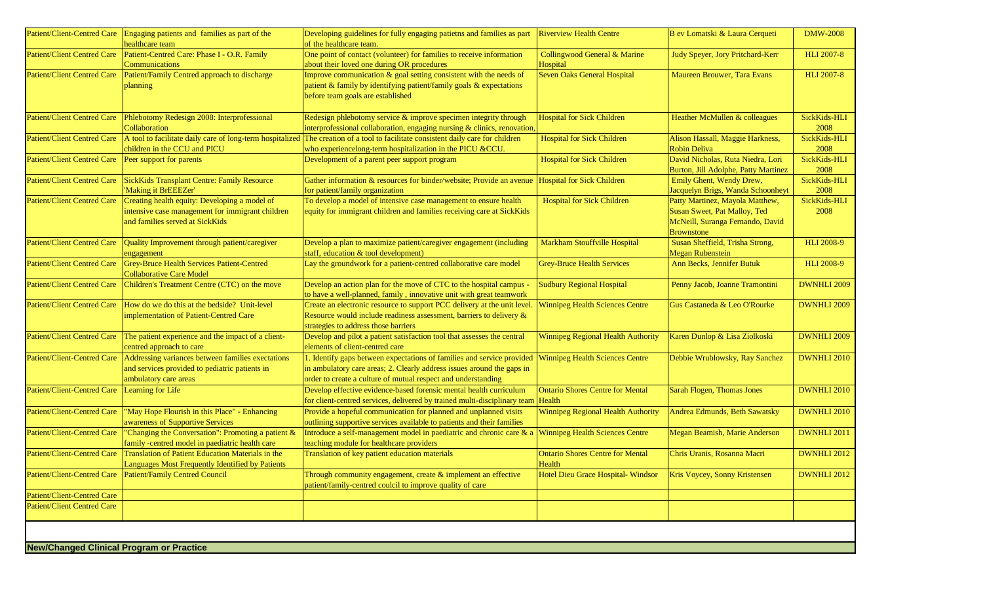|                                                 | Patient/Client-Centred Care Engaging patients and families as part of the<br>healthcare team                                         | Developing guidelines for fully engaging patietns and families as part<br>of the healthcare team.                                                                                                                 | <b>Riverview Health Centre</b>                    | B ev Lomatski & Laura Cerqueti                                                                                           | <b>DMW-2008</b>      |
|-------------------------------------------------|--------------------------------------------------------------------------------------------------------------------------------------|-------------------------------------------------------------------------------------------------------------------------------------------------------------------------------------------------------------------|---------------------------------------------------|--------------------------------------------------------------------------------------------------------------------------|----------------------|
| <b>Patient/Client Centred Care</b>              | Patient-Centred Care: Phase I - O.R. Family<br>Communications                                                                        | One point of contact (volunteer) for families to receive information<br>about their loved one during OR procedures                                                                                                | Collingwood General & Marine<br>Hospital          | Judy Speyer, Jory Pritchard-Kerr                                                                                         | <b>HLI 2007-8</b>    |
| <b>Patient/Client Centred Care</b>              | Patient/Family Centred approach to discharge<br>planning                                                                             | Improve communication & goal setting consistent with the needs of<br>patient & family by identifying patient/family goals & expectations<br>before team goals are established                                     | <b>Seven Oaks General Hospital</b>                | Maureen Brouwer, Tara Evans                                                                                              | <b>HLI 2007-8</b>    |
| <b>Patient/Client Centred Care</b>              | Phlebotomy Redesign 2008: Interprofessional<br>Collaboration                                                                         | Redesign phlebotomy service $\&$ improve specimen integrity through<br>interprofessional collaboration, engaging nursing & clinics, renovation,                                                                   | <b>Hospital for Sick Children</b>                 | Heather McMullen & colleagues                                                                                            | SickKids-HLI<br>2008 |
| <b>Patient/Client Centred Care</b>              | children in the CCU and PICU                                                                                                         | A tool to facilitate daily care of long-term hospitalized The creation of a tool to facilitate consistent daily care for children<br>who experiencelong-term hospitalization in the PICU &CCU.                    | <b>Hospital for Sick Children</b>                 | Alison Hassall, Maggie Harkness,<br><b>Robin Deliva</b>                                                                  | SickKids-HLI<br>2008 |
| <b>Patient/Client Centred Care</b>              | Peer support for parents                                                                                                             | Development of a parent peer support program                                                                                                                                                                      | <b>Hospital for Sick Children</b>                 | David Nicholas, Ruta Niedra, Lori<br>Burton, Jill Adolphe, Patty Martinez                                                | SickKids-HLI<br>2008 |
| <b>Patient/Client Centred Care</b>              | <b>SickKids Transplant Centre: Family Resource</b><br>'Making it BrEEEZer'                                                           | Gather information & resources for binder/website; Provide an avenue<br>for patient/family organization                                                                                                           | <b>Hospital for Sick Children</b>                 | Emily Ghent, Wendy Drew,<br>Jacquelyn Brigs, Wanda Schoonheyt                                                            | SickKids-HLI<br>2008 |
| <b>Patient/Client Centred Care</b>              | Creating health equity: Developing a model of<br>intensive case management for immigrant children<br>and families served at SickKids | To develop a model of intensive case management to ensure health<br>equity for immigrant children and families receiving care at SickKids                                                                         | <b>Hospital for Sick Children</b>                 | Patty Martinez, Mayola Matthew,<br>Susan Sweet, Pat Malloy, Ted<br>McNeill, Suranga Fernando, David<br><b>Brownstone</b> | SickKids-HLI<br>2008 |
| <b>Patient/Client Centred Care</b>              | Quality Improvement through patient/caregiver<br>engagement                                                                          | Develop a plan to maximize patient/caregiver engagement (including<br>staff, education & tool development)                                                                                                        | Markham Stouffville Hospital                      | Susan Sheffield, Trisha Strong,<br><b>Megan Rubenstein</b>                                                               | <b>HLI 2008-9</b>    |
| <b>Patient/Client Centred Care</b>              | <b>Grey-Bruce Health Services Patient-Centred</b><br><b>Collaborative Care Model</b>                                                 | Lay the groundwork for a patient-centred collaborative care model                                                                                                                                                 | <b>Grey-Bruce Health Services</b>                 | Ann Becks, Jennifer Butuk                                                                                                | <b>HLI 2008-9</b>    |
| <b>Patient/Client Centred Care</b>              | Children's Treatment Centre (CTC) on the move                                                                                        | Develop an action plan for the move of CTC to the hospital campus -<br>to have a well-planned, family, innovative unit with great teamwork                                                                        | <b>Sudbury Regional Hospital</b>                  | Penny Jacob, Joanne Tramontini                                                                                           | <b>DWNHLI 2009</b>   |
| <b>Patient/Client Centred Care</b>              | How do we do this at the bedside? Unit-level<br>implementation of Patient-Centred Care                                               | Create an electronic resource to support PCC delivery at the unit level.<br>Resource would include readiness assessment, barriers to delivery &<br>strategies to address those barriers                           | <b>Winnipeg Health Sciences Centre</b>            | Gus Castaneda & Leo O'Rourke                                                                                             | <b>DWNHLI 2009</b>   |
| Patient/Client Centred Care                     | The patient experience and the impact of a client-<br>centred approach to care                                                       | Develop and pilot a patient satisfaction tool that assesses the central<br>elements of client-centred care                                                                                                        | <b>Winnipeg Regional Health Authority</b>         | Karen Dunlop & Lisa Ziolkoski                                                                                            | <b>DWNHLI 2009</b>   |
| <b>Patient/Client-Centred Care</b>              | Addressing variances between families exectations<br>and services provided to pediatric patients in<br>ambulatory care areas         | 1. Identify gaps between expectations of families and service provided<br>in ambulatory care areas; 2. Clearly address issues around the gaps in<br>order to create a culture of mutual respect and understanding | <b>Winnipeg Health Sciences Centre</b>            | Debbie Wrublowsky, Ray Sanchez                                                                                           | <b>DWNHLI 2010</b>   |
| <b>Patient/Client-Centred Care</b>              | Learning for Life                                                                                                                    | Develop effective evidence-based forensic mental health curriculum<br>for client-centred services, delivered by trained multi-disciplinary team  Health                                                           | <b>Ontario Shores Centre for Mental</b>           | Sarah Flogen, Thomas Jones                                                                                               | <b>DWNHLI 2010</b>   |
| <b>Patient/Client-Centred Care</b>              | 'May Hope Flourish in this Place" - Enhancing<br>awareness of Supportive Services                                                    | Provide a hopeful communication for planned and unplanned visits<br>outlining supportive services available to patients and their families                                                                        | <b>Winnipeg Regional Health Authority</b>         | Andrea Edmunds, Beth Sawatsky                                                                                            | <b>DWNHLI 2010</b>   |
| <b>Patient/Client-Centred Care</b>              | 'Changing the Conversation": Promoting a patient &<br>family -centred model in paediatric health care                                | Introduce a self-management model in paediatric and chronic care & a<br>teaching module for healthcare providers                                                                                                  | <b>Winnipeg Health Sciences Centre</b>            | Megan Beamish, Marie Anderson                                                                                            | <b>DWNHLI 2011</b>   |
| Patient/Client-Centred Care                     | Translation of Patient Education Materials in the<br>Languages Most Frequently Identified by Patients                                | Translation of key patient education materials                                                                                                                                                                    | <b>Ontario Shores Centre for Mental</b><br>Health | Chris Uranis, Rosanna Macri                                                                                              | <b>DWNHLI 2012</b>   |
|                                                 | Patient/Client-Centred Care   Patient/Family Centred Council                                                                         | Through community engagement, create & implement an effective<br>patient/family-centred coulcil to improve quality of care                                                                                        | Hotel Dieu Grace Hospital- Windsor                | Kris Voycey, Sonny Kristensen                                                                                            | <b>DWNHLI 2012</b>   |
| Patient/Client-Centred Care                     |                                                                                                                                      |                                                                                                                                                                                                                   |                                                   |                                                                                                                          |                      |
| <b>Patient/Client Centred Care</b>              |                                                                                                                                      |                                                                                                                                                                                                                   |                                                   |                                                                                                                          |                      |
|                                                 |                                                                                                                                      |                                                                                                                                                                                                                   |                                                   |                                                                                                                          |                      |
| <b>New/Changed Clinical Program or Practice</b> |                                                                                                                                      |                                                                                                                                                                                                                   |                                                   |                                                                                                                          |                      |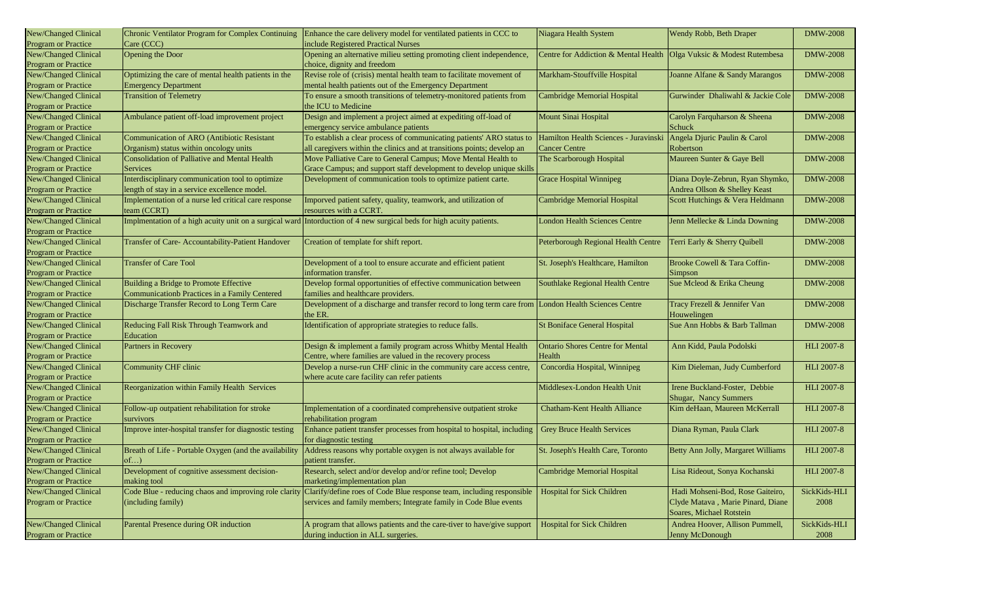| New/Changed Clinical                        | Chronic Ventilator Program for Complex Continuing      | Enhance the care delivery model for ventilated patients in CCC to                                                    | Niagara Health System                                                 | Wendy Robb, Beth Draper            | <b>DMW-2008</b>   |
|---------------------------------------------|--------------------------------------------------------|----------------------------------------------------------------------------------------------------------------------|-----------------------------------------------------------------------|------------------------------------|-------------------|
| Program or Practice                         | Care (CCC)                                             | include Registered Practical Nurses                                                                                  |                                                                       |                                    |                   |
| New/Changed Clinical<br>Program or Practice | Opening the Door                                       | Opening an alternative milieu setting promoting client independence,<br>choice, dignity and freedom                  | Centre for Addiction & Mental Health   Olga Vuksic & Modest Rutembesa |                                    | <b>DMW-2008</b>   |
| New/Changed Clinical                        | Optimizing the care of mental health patients in the   | Revise role of (crisis) mental health team to facilitate movement of                                                 | Markham-Stouffville Hospital                                          | Joanne Alfane & Sandy Marangos     | <b>DMW-2008</b>   |
| Program or Practice                         | <b>Emergency Department</b>                            | mental health patients out of the Emergency Department                                                               |                                                                       |                                    |                   |
| New/Changed Clinical                        | <b>Transition of Telemetry</b>                         | To ensure a smooth transitions of telemetry-monitored patients from                                                  | <b>Cambridge Memorial Hospital</b>                                    | Gurwinder Dhaliwahl & Jackie Cole  | <b>DMW-2008</b>   |
| Program or Practice                         |                                                        | the ICU to Medicine                                                                                                  |                                                                       |                                    |                   |
| New/Changed Clinical                        | Ambulance patient off-load improvement project         | Design and implement a project aimed at expediting off-load of                                                       | Mount Sinai Hospital                                                  | Carolyn Farquharson & Sheena       | <b>DMW-2008</b>   |
| Program or Practice                         |                                                        | emergency service ambulance patients                                                                                 |                                                                       | Schuck                             |                   |
| New/Changed Clinical                        | <b>Communication of ARO (Antibiotic Resistant</b>      | To establish a clear process of communicating patients' ARO status to                                                | Hamilton Health Sciences - Juravinski                                 | Angela Djuric Paulin & Carol       | <b>DMW-2008</b>   |
| Program or Practice                         | Organism) status within oncology units                 | all caregivers within the clinics and at transitions points; develop an                                              | <b>Cancer Centre</b>                                                  | Robertson                          |                   |
| New/Changed Clinical                        | <b>Consolidation of Palliative and Mental Health</b>   | Move Palliative Care to General Campus; Move Mental Health to                                                        | The Scarborough Hospital                                              | Maureen Sunter & Gaye Bell         | <b>DMW-2008</b>   |
| Program or Practice                         | Services                                               | Grace Campus; and support staff development to develop unique skills                                                 |                                                                       |                                    |                   |
| New/Changed Clinical                        | Interdisciplinary communication tool to optimize       | Development of communication tools to optimize patient carte.                                                        | <b>Grace Hospital Winnipeg</b>                                        | Diana Doyle-Zebrun, Ryan Shymko,   | <b>DMW-2008</b>   |
| Program or Practice                         | length of stay in a service excellence model.          |                                                                                                                      |                                                                       | Andrea Ollson & Shelley Keast      |                   |
| New/Changed Clinical                        | Implementation of a nurse led critical care response   | Imporved patient safety, quality, teamwork, and utilization of                                                       | Cambridge Memorial Hospital                                           | Scott Hutchings & Vera Heldmann    | <b>DMW-2008</b>   |
| <b>Program or Practice</b>                  | team (CCRT)                                            | resources with a CCRT.                                                                                               |                                                                       |                                    |                   |
| New/Changed Clinical                        |                                                        | Implmentation of a high acuity unit on a surgical ward Intorduction of 4 new surgical beds for high acuity patients. | <b>London Health Sciences Centre</b>                                  | Jenn Mellecke & Linda Downing      | <b>DMW-2008</b>   |
| Program or Practice                         |                                                        |                                                                                                                      |                                                                       |                                    |                   |
| New/Changed Clinical                        | Transfer of Care- Accountability-Patient Handover      | Creation of template for shift report.                                                                               | Peterborough Regional Health Centre   Terri Early & Sherry Quibell    |                                    | <b>DMW-2008</b>   |
| Program or Practice                         |                                                        |                                                                                                                      |                                                                       |                                    |                   |
| New/Changed Clinical                        | <b>Transfer of Care Tool</b>                           | Development of a tool to ensure accurate and efficient patient                                                       | St. Joseph's Healthcare, Hamilton                                     | Brooke Cowell & Tara Coffin-       | <b>DMW-2008</b>   |
| Program or Practice                         |                                                        | information transfer.                                                                                                |                                                                       | Simpson                            |                   |
| New/Changed Clinical                        | Building a Bridge to Promote Effective                 | Develop formal opportunities of effective communication between                                                      | Southlake Regional Health Centre                                      | Sue Mcleod & Erika Cheung          | <b>DMW-2008</b>   |
| <b>Program or Practice</b>                  | Communicationb Practices in a Family Centered          | families and healthcare providers.                                                                                   |                                                                       |                                    |                   |
| New/Changed Clinical                        | Discharge Transfer Record to Long Term Care            | Development of a discharge and transfer record to long term care from London Health Sciences Centre                  |                                                                       | Tracy Frezell & Jennifer Van       | <b>DMW-2008</b>   |
| Program or Practice                         |                                                        | the ER.                                                                                                              |                                                                       | Houwelingen                        |                   |
| New/Changed Clinical                        | Reducing Fall Risk Through Teamwork and                | Identification of appropriate strategies to reduce falls.                                                            | St Boniface General Hospital                                          | Sue Ann Hobbs & Barb Tallman       | <b>DMW-2008</b>   |
| <b>Program or Practice</b>                  | Education                                              |                                                                                                                      |                                                                       |                                    |                   |
| New/Changed Clinical                        | Partners in Recovery                                   | Design & implement a family program across Whitby Mental Health                                                      | <b>Ontario Shores Centre for Mental</b>                               | Ann Kidd, Paula Podolski           | <b>HLI 2007-8</b> |
| Program or Practice                         |                                                        | Centre, where families are valued in the recovery process                                                            | Health                                                                |                                    |                   |
| New/Changed Clinical                        | <b>Community CHF clinic</b>                            | Develop a nurse-run CHF clinic in the community care access centre,                                                  | Concordia Hospital, Winnipeg                                          | Kim Dieleman, Judy Cumberford      | <b>HLI 2007-8</b> |
| Program or Practice                         |                                                        | where acute care facility can refer patients                                                                         |                                                                       |                                    |                   |
| New/Changed Clinical                        | Reorganization within Family Health Services           |                                                                                                                      | Middlesex-London Health Unit                                          | Irene Buckland-Foster, Debbie      | <b>HLI 2007-8</b> |
| Program or Practice                         |                                                        |                                                                                                                      |                                                                       | <b>Shugar, Nancy Summers</b>       |                   |
| New/Changed Clinical                        | Follow-up outpatient rehabilitation for stroke         | Implementation of a coordinated comprehensive outpatient stroke                                                      | <b>Chatham-Kent Health Alliance</b>                                   | Kim deHaan, Maureen McKerrall      | <b>HLI 2007-8</b> |
| <b>Program or Practice</b>                  | survivors                                              | rehabilitation program                                                                                               |                                                                       |                                    |                   |
| New/Changed Clinical                        | Improve inter-hospital transfer for diagnostic testing | Enhance patient transfer processes from hospital to hospital, including                                              | <b>Grey Bruce Health Services</b>                                     | Diana Ryman, Paula Clark           | <b>HLI 2007-8</b> |
| Program or Practice                         |                                                        | for diagnostic testing                                                                                               |                                                                       |                                    |                   |
| New/Changed Clinical                        | Breath of Life - Portable Oxygen (and the availability | Address reasons why portable oxygen is not always available for                                                      | St. Joseph's Health Care, Toronto                                     | Betty Ann Jolly, Margaret Williams | <b>HLI 2007-8</b> |
| Program or Practice                         | of                                                     | patient transfer.                                                                                                    |                                                                       |                                    |                   |
| New/Changed Clinical                        | Development of cognitive assessment decision-          | Research, select and/or develop and/or refine tool; Develop                                                          | Cambridge Memorial Hospital                                           | Lisa Rideout, Sonya Kochanski      | <b>HLI 2007-8</b> |
| Program or Practice                         | making tool                                            | marketing/implementation plan                                                                                        |                                                                       |                                    |                   |
| New/Changed Clinical                        | Code Blue - reducing chaos and improving role clarity  | Clarify/define roes of Code Blue response team, including responsible                                                | <b>Hospital for Sick Children</b>                                     | Hadi Mohseni-Bod, Rose Gaiteiro,   | SickKids-HLI      |
| Program or Practice                         | (including family)                                     | services and family members; Integrate family in Code Blue events                                                    |                                                                       | Clyde Matava, Marie Pinard, Diane  | 2008              |
|                                             |                                                        |                                                                                                                      |                                                                       | Soares, Michael Rotstein           |                   |
| New/Changed Clinical                        | Parental Presence during OR induction                  | A program that allows patients and the care-tiver to have/give support                                               | <b>Hospital for Sick Children</b>                                     | Andrea Hoover, Allison Pummell,    | SickKids-HLI      |
| Program or Practice                         |                                                        | during induction in ALL surgeries.                                                                                   |                                                                       | Jenny McDonough                    | 2008              |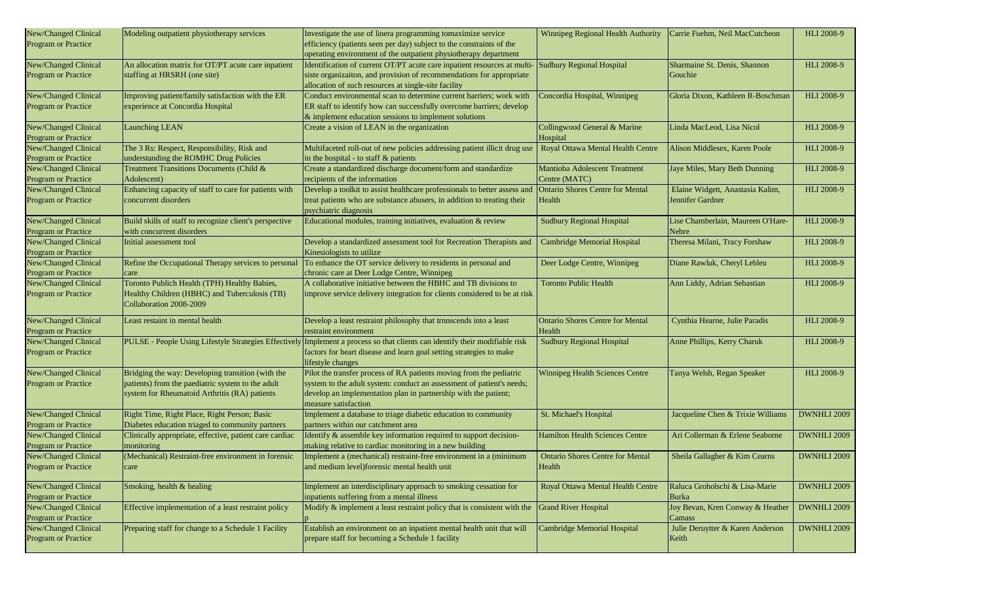| New/Changed Clinical       | Modeling outpatient physiotherapy services              | Investigate the use of linera programming tomaximize service                                                                 | Winnipeg Regional Health Authority      | Carrie Fuehm, Neil MacCutcheon    | HLI 2008-9         |
|----------------------------|---------------------------------------------------------|------------------------------------------------------------------------------------------------------------------------------|-----------------------------------------|-----------------------------------|--------------------|
| Program or Practice        |                                                         | efficiency (patients seen per day) subject to the constraints of the                                                         |                                         |                                   |                    |
|                            |                                                         | operating environment of the outpatient physiotherapy department                                                             |                                         |                                   |                    |
| New/Changed Clinical       | An allocation matrix for OT/PT acute care inpatient     | Identification of current OT/PT acute care inpatient resources at multi-                                                     | <b>Sudbury Regional Hospital</b>        | Sharmaine St. Denis, Shannon      | HLI 2008-9         |
| Program or Practice        | staffing at HRSRH (one site)                            | siste organizaiton, and provision of recommendations for appropriate                                                         |                                         | Gouchie                           |                    |
|                            |                                                         | allocation of such resources at single-site facility                                                                         |                                         |                                   |                    |
| New/Changed Clinical       | Improving patient/family satisfaction with the ER       | Conduct environmental scan to determine current barriers; work with                                                          | Concordia Hospital, Winnipeg            | Gloria Dixon, Kathleen R-Boschman | <b>HLI 2008-9</b>  |
| Program or Practice        | experience at Concordia Hospital                        | ER staff to identify how can successfully overcome barriers; develop                                                         |                                         |                                   |                    |
|                            |                                                         | & implement education sessions to implement solutions                                                                        |                                         |                                   |                    |
|                            |                                                         |                                                                                                                              |                                         |                                   |                    |
| New/Changed Clinical       | <b>Launching LEAN</b>                                   | Create a vision of LEAN in the organization                                                                                  | Collingwood General & Marine            | Linda MacLeod, Lisa Nicol         | HLI 2008-9         |
| Program or Practice        |                                                         |                                                                                                                              | Hospital                                |                                   |                    |
| New/Changed Clinical       | The 3 Rs: Respect, Responsibility, Risk and             | Multifaceted roll-out of new policies addressing patient illicit drug use                                                    | Royal Ottawa Mental Health Centre       | Alison Middlesex, Karen Poole     | HLI 2008-9         |
| Program or Practice        | understanding the ROMHC Drug Policies                   | in the hospital - to staff $\&$ patients                                                                                     |                                         |                                   |                    |
| New/Changed Clinical       | Treatment Transitions Documents (Child &                | Create a standardized discharge document/form and standardize                                                                | Mantioba Adolescent Treatment           | Jaye Miles, Mary Beth Dunning     | <b>HLI 2008-9</b>  |
| Program or Practice        | Adolescent)                                             | recipients of the information                                                                                                | Centre (MATC)                           |                                   |                    |
| New/Changed Clinical       | Enhancing capacity of staff to care for patients with   | Develop a toolkit to assist healthcare professionals to better assess and                                                    | <b>Ontario Shores Centre for Mental</b> | Elaine Widgett, Anastasia Kalim,  | <b>HLI 2008-9</b>  |
| Program or Practice        | concurrent disorders                                    | treat patients who are substance abusers, in addition to treating their                                                      | Health                                  | Jennifer Gardner                  |                    |
|                            |                                                         | psychiatric diagnosis                                                                                                        |                                         |                                   |                    |
| New/Changed Clinical       | Build skills of staff to recognize client's perspective | Educational modules, training initiatives, evaluation & review                                                               | <b>Sudbury Regional Hospital</b>        | Lise Chamberlain, Maureen O'Hare- | HLI 2008-9         |
| Program or Practice        | with concurrent disorders                               |                                                                                                                              |                                         | Nebre                             |                    |
| New/Changed Clinical       | Initial assessment tool                                 | Develop a standardized assessment tool for Recreation Therapists and                                                         | <b>Cambridge Memorial Hospital</b>      | Theresa Milani, Tracy Forshaw     | HLI 2008-9         |
| Program or Practice        |                                                         | Kinesiologists to utilize                                                                                                    |                                         |                                   |                    |
| New/Changed Clinical       | Refine the Occupational Therapy services to personal    | To enhance the OT service delivery to residents in personal and                                                              | Deer Lodge Centre, Winnipeg             | Diane Rawluk, Cheryl Lebleu       | HLI 2008-9         |
| Program or Practice        | care                                                    | chronic care at Deer Lodge Centre, Winnipeg                                                                                  |                                         |                                   |                    |
| New/Changed Clinical       | Toronto Publich Health (TPH) Healthy Babies,            | A collaborative initiative between the HBHC and TB divisions to                                                              | <b>Toronto Public Health</b>            | Ann Liddy, Adrian Sebastian       | <b>HLI 2008-9</b>  |
| Program or Practice        | Healthy Children (HBHC) and Tuberculosis (TB)           | improve service delivery integration for clients considered to be at risk                                                    |                                         |                                   |                    |
|                            | Collaboration 2008-2009                                 |                                                                                                                              |                                         |                                   |                    |
| New/Changed Clinical       | Least restaint in mental health                         | Develop a least restraint philosophy that trnnscends into a least                                                            | <b>Ontario Shores Centre for Mental</b> | Cynthia Hearne, Julie Paradis     | HLI 2008-9         |
| Program or Practice        |                                                         | restraint environment                                                                                                        | Health                                  |                                   |                    |
| New/Changed Clinical       |                                                         | PULSE - People Using Lifestyle Strategies Effectively Implement a process so that clients can identify their modifiable risk | <b>Sudbury Regional Hospital</b>        | Anne Phillips, Kerry Charuk       | <b>HLI 2008-9</b>  |
| Program or Practice        |                                                         | factors for heart disease and learn goal setting strategies to make                                                          |                                         |                                   |                    |
|                            |                                                         | lifestyle changes                                                                                                            |                                         |                                   |                    |
| New/Changed Clinical       | Bridging the way: Developing transition (with the       | Pilot the transfer process of RA patients moving from the pediatric                                                          | <b>Winnipeg Health Sciences Centre</b>  | Tanya Welsh, Regan Speaker        | <b>HLI 2008-9</b>  |
| <b>Program or Practice</b> | patients) from the paediatric system to the adult       | system to the adult system: conduct an assessment of patient's needs;                                                        |                                         |                                   |                    |
|                            | system for Rheumatoid Arthritis (RA) patients           | develop an implementation plan in partnership with the patient;                                                              |                                         |                                   |                    |
|                            |                                                         | measure satisfaction                                                                                                         |                                         |                                   |                    |
| New/Changed Clinical       | Right Time, Right Place, Right Person; Basic            | Implement a database to triage diabetic education to community                                                               | St. Michael's Hospital                  | Jacqueline Chen & Trixie Williams | DWNHLI 2009        |
| Program or Practice        | Diabetes education triaged to community partners        | partners within our catchment area                                                                                           |                                         |                                   |                    |
| New/Changed Clinical       | Clinically appropriate, effective, patient care cardiac | Identify & assemble key information required to support decision-                                                            | <b>Hamilton Health Sciences Centre</b>  | Ari Collerman & Erlene Seaborne   | DWNHLI 2009        |
| Program or Practice        | monitoring                                              | making relative to cardiac monitoring in a new building                                                                      |                                         |                                   |                    |
| New/Changed Clinical       | (Mechanical) Restraint-free environment in forensic     | Implement a (mechanical) restraint-free environment in a (minimum                                                            | <b>Ontario Shores Centre for Mental</b> | Sheila Gallagher & Kim Cearns     | DWNHLI 2009        |
| Program or Practice        | care                                                    | and medium level)forensic mental health unit                                                                                 | Health                                  |                                   |                    |
|                            |                                                         |                                                                                                                              |                                         |                                   |                    |
| New/Changed Clinical       | Smoking, health & healing                               | Implement an interdisciplinary approach to smoking cessation for                                                             | Royal Ottawa Mental Health Centre       | Raluca Groholschi & Lisa-Marie    | DWNHLI 2009        |
| Program or Practice        |                                                         | inpatients suffering from a mental illness                                                                                   |                                         | Burka                             |                    |
| New/Changed Clinical       | Effective implementation of a least restraint policy    | Modify & implement a least restraint policy that is consistent with the                                                      | <b>Grand River Hospital</b>             | Joy Bevan, Kren Conway & Heather  | DWNHLI 2009        |
| Program or Practice        |                                                         |                                                                                                                              |                                         | <b>Camass</b>                     |                    |
| New/Changed Clinical       | Preparing staff for change to a Schedule 1 Facility     | Establish an environment on an inpatient mental health unit that will                                                        | <b>Cambridge Memorial Hospital</b>      | Julie Deruytter & Karen Anderson  | <b>DWNHLI 2009</b> |
| Program or Practice        |                                                         | prepare staff for becoming a Schedule 1 facility                                                                             |                                         | Keith                             |                    |
|                            |                                                         |                                                                                                                              |                                         |                                   |                    |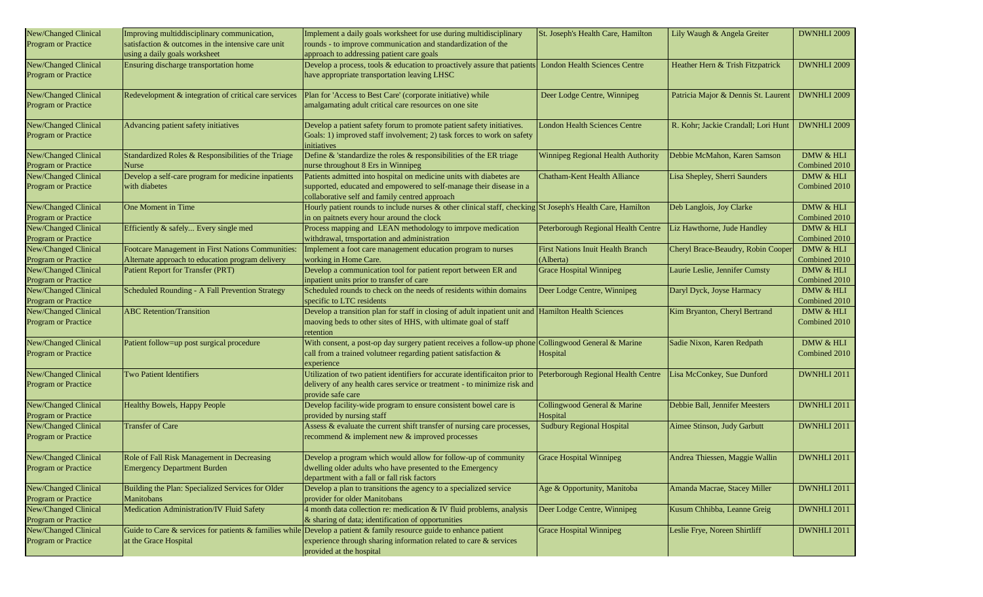| New/Changed Clinical                               | Improving multiddisciplinary communication,                                      | Implement a daily goals worksheet for use during multidisciplinary                                                                                                         | St. Joseph's Health Care, Hamilton       | Lily Waugh & Angela Greiter         | DWNHLI 2009        |
|----------------------------------------------------|----------------------------------------------------------------------------------|----------------------------------------------------------------------------------------------------------------------------------------------------------------------------|------------------------------------------|-------------------------------------|--------------------|
| Program or Practice                                | satisfaction & outcomes in the intensive care unit                               | rounds - to improve communication and standardization of the                                                                                                               |                                          |                                     |                    |
|                                                    | using a daily goals worksheet                                                    | approach to addressing patient care goals                                                                                                                                  |                                          |                                     |                    |
| New/Changed Clinical                               | Ensuring discharge transportation home                                           | Develop a process, tools & education to proactively assure that patients                                                                                                   | <b>London Health Sciences Centre</b>     | Heather Hern & Trish Fitzpatrick    | DWNHLI 2009        |
| Program or Practice                                |                                                                                  | have appropriate transportation leaving LHSC                                                                                                                               |                                          |                                     |                    |
| New/Changed Clinical                               | Redevelopment & integration of critical care services                            | Plan for 'Access to Best Care' (corporate initiative) while                                                                                                                | Deer Lodge Centre, Winnipeg              | Patricia Major & Dennis St. Laurent | DWNHLI 2009        |
| <b>Program or Practice</b>                         |                                                                                  | amalgamating adult critical care resources on one site                                                                                                                     |                                          |                                     |                    |
| New/Changed Clinical<br>Program or Practice        | Advancing patient safety initiatives                                             | Develop a patient safety forum to promote patient safety initiatives.<br>Goals: 1) improved staff involvement; 2) task forces to work on safety                            | <b>London Health Sciences Centre</b>     | R. Kohr; Jackie Crandall; Lori Hunt | DWNHLI 2009        |
|                                                    |                                                                                  | initiatives                                                                                                                                                                |                                          |                                     |                    |
| New/Changed Clinical                               | Standardized Roles & Responsibilities of the Triage                              | Define & 'standardize the roles & responsibilities of the ER triage                                                                                                        | Winnipeg Regional Health Authority       | Debbie McMahon, Karen Samson        | DMW & HLI          |
| Program or Practice                                | Nurse                                                                            | nurse throughout 8 Ers in Winnipeg                                                                                                                                         |                                          |                                     | Combined 2010      |
| New/Changed Clinical                               | Develop a self-care program for medicine inpatients                              | Patients admitted into hospital on medicine units with diabetes are                                                                                                        | <b>Chatham-Kent Health Alliance</b>      | Lisa Shepley, Sherri Saunders       | DMW & HLI          |
| Program or Practice                                | with diabetes                                                                    | supported, educated and empowered to self-manage their disease in a<br>collaborative self and family centred approach                                                      |                                          |                                     | Combined 2010      |
| New/Changed Clinical                               | One Moment in Time                                                               | Hourly patient rounds to include nurses & other clinical staff, checking St Joseph's Health Care, Hamilton                                                                 |                                          | Deb Langlois, Joy Clarke            | DMW & HLI          |
| Program or Practice                                |                                                                                  | in on paitnets every hour around the clock                                                                                                                                 |                                          |                                     | Combined 2010      |
| New/Changed Clinical                               | Efficiently & safely Every single med                                            | Process mapping and LEAN methodology to imrpove medication                                                                                                                 | Peterborough Regional Health Centre      | Liz Hawthorne, Jude Handley         | DMW & HLI          |
| Program or Practice                                |                                                                                  | withdrawal, trnsportation and administration                                                                                                                               |                                          |                                     | Combined 2010      |
| New/Changed Clinical                               | Footcare Management in First Nations Communities:                                | Implement a foot care management education program to nurses                                                                                                               | First Nations Inuit Health Branch        | Cheryl Brace-Beaudry, Robin Cooper  | DMW & HLI          |
| Program or Practice                                | Alternate approach to education program delivery                                 | working in Home Care.                                                                                                                                                      | (Alberta)                                |                                     | Combined 2010      |
| New/Changed Clinical                               | Patient Report for Transfer (PRT)                                                | Develop a communication tool for patient report between ER and                                                                                                             | <b>Grace Hospital Winnipeg</b>           | Laurie Leslie, Jennifer Cumsty      | DMW & HLI          |
| Program or Practice                                |                                                                                  | inpatient units prior to transfer of care                                                                                                                                  |                                          |                                     | Combined 2010      |
| New/Changed Clinical                               | Scheduled Rounding - A Fall Prevention Strategy                                  | Scheduled rounds to check on the needs of residents within domains                                                                                                         | Deer Lodge Centre, Winnipeg              | Daryl Dyck, Joyse Harmacy           | DMW & HLI          |
| Program or Practice                                |                                                                                  | specific to LTC residents                                                                                                                                                  |                                          |                                     | Combined 2010      |
| New/Changed Clinical                               | <b>ABC</b> Retention/Transition                                                  | Develop a transition plan for staff in closing of adult inpatient unit and Hamilton Health Sciences                                                                        |                                          | Kim Bryanton, Cheryl Bertrand       | DMW & HLI          |
| Program or Practice                                |                                                                                  | maoving beds to other sites of HHS, with ultimate goal of staff<br>retention                                                                                               |                                          |                                     | Combined 2010      |
| New/Changed Clinical                               | Patient follow=up post surgical procedure                                        | With consent, a post-op day surgery patient receives a follow-up phone Collingwood General & Marine                                                                        |                                          | Sadie Nixon, Karen Redpath          | DMW & HLI          |
| Program or Practice                                |                                                                                  | call from a trained volutneer regarding patient satisfaction &<br>experience                                                                                               | Hospital                                 |                                     | Combined 2010      |
| New/Changed Clinical                               | <b>Two Patient Identifiers</b>                                                   | Utilization of two patient identifiers for accurate identificaiton prior to                                                                                                | Peterborough Regional Health Centre      | Lisa McConkey, Sue Dunford          | DWNHLI 2011        |
| Program or Practice                                |                                                                                  | delivery of any health cares service or treatment - to minimize risk and<br>provide safe care                                                                              |                                          |                                     |                    |
| New/Changed Clinical<br>Program or Practice        | Healthy Bowels, Happy People                                                     | Develop facility-wide program to ensure consistent bowel care is<br>provided by nursing staff                                                                              | Collingwood General & Marine<br>Hospital | Debbie Ball, Jennifer Meesters      | DWNHLI 2011        |
| New/Changed Clinical<br>Program or Practice        | <b>Transfer of Care</b>                                                          | Assess & evaluate the current shift transfer of nursing care processes,<br>recommend & implement new & improved processes                                                  | <b>Sudbury Regional Hospital</b>         | Aimee Stinson, Judy Garbutt         | DWNHLI 2011        |
| New/Changed Clinical<br><b>Program or Practice</b> | Role of Fall Risk Management in Decreasing<br><b>Emergency Department Burden</b> | Develop a program which would allow for follow-up of community<br>dwelling older adults who have presented to the Emergency<br>department with a fall or fall risk factors | <b>Grace Hospital Winnipeg</b>           | Andrea Thiessen, Maggie Wallin      | DWNHLI 2011        |
| New/Changed Clinical                               | Building the Plan: Specialized Services for Older                                | Develop a plan to transitions the agency to a specialized service                                                                                                          | Age & Opportunity, Manitoba              | Amanda Macrae, Stacey Miller        | DWNHLI 2011        |
| <b>Program or Practice</b>                         | Manitobans                                                                       | provider for older Manitobans                                                                                                                                              |                                          |                                     |                    |
| New/Changed Clinical                               | Medication Administration/IV Fluid Safety                                        | 4 month data collection re: medication & IV fluid problems, analysis                                                                                                       | Deer Lodge Centre, Winnipeg              | Kusum Chhibba, Leanne Greig         | <b>DWNHLI 2011</b> |
| Program or Practice                                |                                                                                  | & sharing of data; identification of opportunities                                                                                                                         |                                          |                                     |                    |
| New/Changed Clinical                               |                                                                                  | Guide to Care & services for patients & families while Develop a patient & family resource guide to enhance patient                                                        | <b>Grace Hospital Winnipeg</b>           | Leslie Frye, Noreen Shirtliff       | <b>DWNHLI 2011</b> |
| Program or Practice                                | at the Grace Hospital                                                            | experience through sharing information related to care & services<br>provided at the hospital                                                                              |                                          |                                     |                    |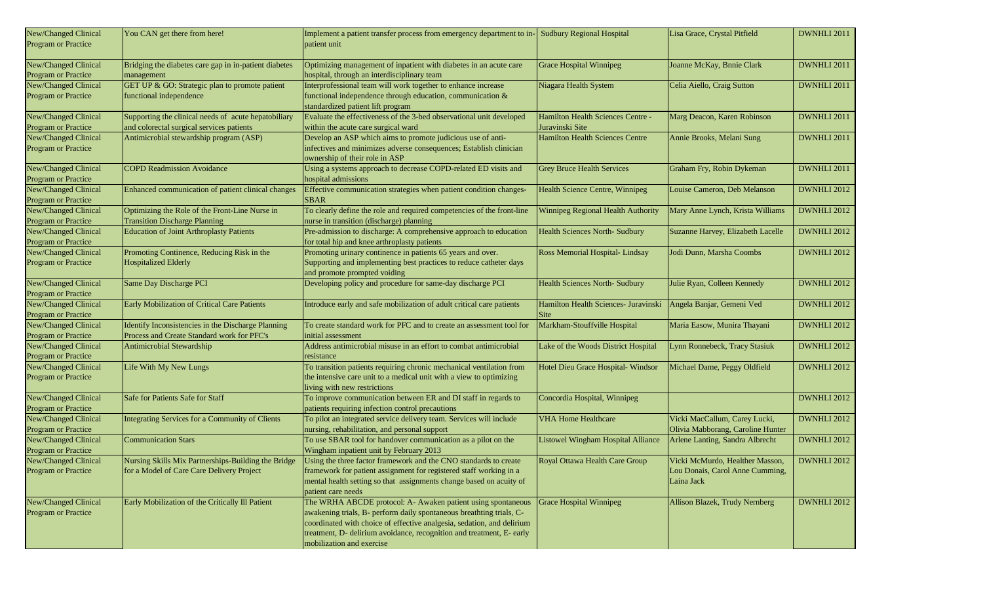| New/Changed Clinical<br>Program or Practice        | You CAN get there from here!                                                                      | Implement a patient transfer process from emergency department to in-<br>patient unit                                                                                                                                                                                                                                | <b>Sudbury Regional Hospital</b>                            | Lisa Grace, Crystal Pitfield                                                     | DWNHLI 2011        |
|----------------------------------------------------|---------------------------------------------------------------------------------------------------|----------------------------------------------------------------------------------------------------------------------------------------------------------------------------------------------------------------------------------------------------------------------------------------------------------------------|-------------------------------------------------------------|----------------------------------------------------------------------------------|--------------------|
| New/Changed Clinical<br><b>Program or Practice</b> | Bridging the diabetes care gap in in-patient diabetes<br>management                               | Optimizing management of inpatient with diabetes in an acute care<br>hospital, through an interdisciplinary team                                                                                                                                                                                                     | <b>Grace Hospital Winnipeg</b>                              | Joanne McKay, Bnnie Clark                                                        | DWNHLI 2011        |
| New/Changed Clinical<br>Program or Practice        | GET UP & GO: Strategic plan to promote patient<br>functional independence                         | Interprofessional team will work together to enhance increase<br>functional independence through education, communication &<br>standardized patient lift program                                                                                                                                                     | Niagara Health System                                       | Celia Aiello, Craig Sutton                                                       | DWNHLI 2011        |
| New/Changed Clinical<br>Program or Practice        | Supporting the clinical needs of acute hepatobiliary<br>and colorectal surgical services patients | Evaluate the effectiveness of the 3-bed observational unit developed<br>within the acute care surgical ward                                                                                                                                                                                                          | <b>Hamilton Health Sciences Centre -</b><br>Juravinski Site | Marg Deacon, Karen Robinson                                                      | DWNHLI 2011        |
| New/Changed Clinical<br>Program or Practice        | Antimicrobial stewardship program (ASP)                                                           | Develop an ASP which aims to promote judicious use of anti-<br>infectives and minimizes adverse consequences; Establish clinician<br>ownership of their role in ASP                                                                                                                                                  | <b>Hamilton Health Sciences Centre</b>                      | Annie Brooks, Melani Sung                                                        | DWNHLI 2011        |
| New/Changed Clinical<br>Program or Practice        | <b>COPD Readmission Avoidance</b>                                                                 | Using a systems approach to decrease COPD-related ED visits and<br>hospital admissions                                                                                                                                                                                                                               | <b>Grey Bruce Health Services</b>                           | Graham Fry, Robin Dykeman                                                        | DWNHLI 2011        |
| New/Changed Clinical<br>Program or Practice        | Enhanced communication of patient clinical changes                                                | Effective communication strategies when patient condition changes-<br><b>SBAR</b>                                                                                                                                                                                                                                    | Health Science Centre, Winnipeg                             | Louise Cameron, Deb Melanson                                                     | DWNHLI 2012        |
| New/Changed Clinical<br>Program or Practice        | Optimizing the Role of the Front-Line Nurse in<br><b>Transition Discharge Planning</b>            | To clearly define the role and required competencies of the front-line<br>nurse in transition (discharge) planning                                                                                                                                                                                                   | Winnipeg Regional Health Authority                          | Mary Anne Lynch, Krista Williams                                                 | DWNHLI 2012        |
| New/Changed Clinical<br><b>Program or Practice</b> | <b>Education of Joint Arthroplasty Patients</b>                                                   | Pre-admission to discharge: A comprehensive approach to education<br>for total hip and knee arthroplasty patients                                                                                                                                                                                                    | <b>Health Sciences North- Sudbury</b>                       | Suzanne Harvey, Elizabeth Lacelle                                                | <b>DWNHLI 2012</b> |
| New/Changed Clinical<br>Program or Practice        | Promoting Continence, Reducing Risk in the<br><b>Hospitalized Elderly</b>                         | Promoting urinary continence in patients 65 years and over.<br>Supporting and implementing best practices to reduce catheter days<br>and promote prompted voiding                                                                                                                                                    | Ross Memorial Hospital-Lindsay                              | Jodi Dunn, Marsha Coombs                                                         | <b>DWNHLI 2012</b> |
| New/Changed Clinical<br>Program or Practice        | Same Day Discharge PCI                                                                            | Developing policy and procedure for same-day discharge PCI                                                                                                                                                                                                                                                           | <b>Health Sciences North- Sudbury</b>                       | Julie Ryan, Colleen Kennedy                                                      | <b>DWNHLI 2012</b> |
| New/Changed Clinical<br>Program or Practice        | Early Mobilization of Critical Care Patients                                                      | Introduce early and safe mobilization of adult critical care patients                                                                                                                                                                                                                                                | Hamilton Health Sciences- Juravinski<br>Site                | Angela Banjar, Gemeni Ved                                                        | DWNHLI 2012        |
| New/Changed Clinical<br><b>Program or Practice</b> | Identify Inconsistencies in the Discharge Planning<br>Process and Create Standard work for PFC's  | To create standard work for PFC and to create an assessment tool for<br>initial assessment                                                                                                                                                                                                                           | Markham-Stouffville Hospital                                | Maria Easow, Munira Thayani                                                      | DWNHLI 2012        |
| New/Changed Clinical<br>Program or Practice        | Antimicrobial Stewardship                                                                         | Address antimicrobial misuse in an effort to combat antimicrobial<br>resistance                                                                                                                                                                                                                                      | Lake of the Woods District Hospital                         | Lynn Ronnebeck, Tracy Stasiuk                                                    | DWNHLI 2012        |
| New/Changed Clinical<br>Program or Practice        | Life With My New Lungs                                                                            | To transition patients requiring chronic mechanical ventilation from<br>the intensive care unit to a medical unit with a view to optimizing<br>living with new restrictions                                                                                                                                          | Hotel Dieu Grace Hospital- Windsor                          | Michael Dame, Peggy Oldfield                                                     | DWNHLI 2012        |
| New/Changed Clinical<br>Program or Practice        | Safe for Patients Safe for Staff                                                                  | To improve communication between ER and DI staff in regards to<br>patients requiring infection control precautions                                                                                                                                                                                                   | Concordia Hospital, Winnipeg                                |                                                                                  | DWNHLI 2012        |
| New/Changed Clinical<br><b>Program or Practice</b> | Integrating Services for a Community of Clients                                                   | To pilot an integrated service delivery team. Services will include<br>nursing, rehabilitation, and personal support                                                                                                                                                                                                 | <b>VHA Home Healthcare</b>                                  | Vicki MacCallum, Carey Lucki,<br>Olivia Mabborang, Caroline Hunter               | DWNHLI 2012        |
| New/Changed Clinical<br>Program or Practice        | <b>Communication Stars</b>                                                                        | To use SBAR tool for handover communication as a pilot on the<br>Wingham inpatient unit by February 2013                                                                                                                                                                                                             | <b>Listowel Wingham Hospital Alliance</b>                   | Arlene Lanting, Sandra Albrecht                                                  | <b>DWNHLI 2012</b> |
| New/Changed Clinical<br>Program or Practice        | Nursing Skills Mix Partnerships-Building the Bridge<br>for a Model of Care Care Delivery Project  | Using the three factor framework and the CNO standards to create<br>framework for patient assignment for registered staff working in a<br>mental health setting so that assignments change based on acuity of<br>patient care needs                                                                                  | Royal Ottawa Health Care Group                              | Vicki McMurdo, Healther Masson,<br>Lou Donais, Carol Anne Cumming,<br>Laina Jack | DWNHLI 2012        |
| New/Changed Clinical<br>Program or Practice        | Early Mobilization of the Critically Ill Patient                                                  | The WRHA ABCDE protocol: A- Awaken patient using spontaneous<br>awakening trials, B- perform daily spontaneous breathting trials, C-<br>coordinated with choice of effective analgesia, sedation, and delirium<br>treatment, D- delirium avoidance, recognition and treatment, E- early<br>mobilization and exercise | <b>Grace Hospital Winnipeg</b>                              | Allison Blazek, Trudy Nernberg                                                   | DWNHLI 2012        |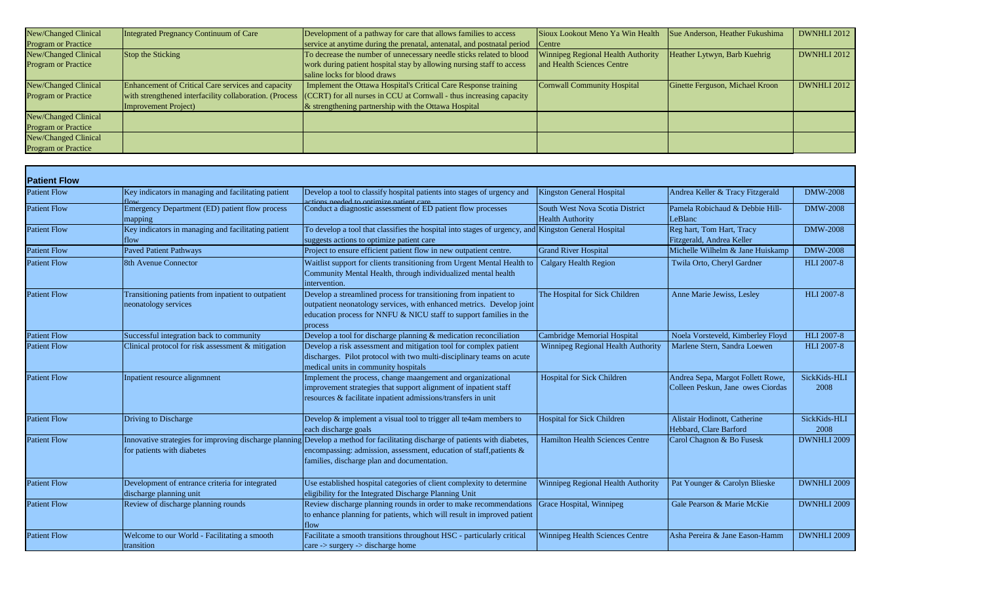| New/Changed Clinical       | Integrated Pregnancy Continuum of Care                  | Development of a pathway for care that allows families to access        | Sioux Lookout Meno Ya Win Health   | Sue Anderson, Heather Fukushima | <b>DWNHLI 2012</b> |
|----------------------------|---------------------------------------------------------|-------------------------------------------------------------------------|------------------------------------|---------------------------------|--------------------|
| <b>Program or Practice</b> |                                                         | service at anytime during the prenatal, antenatal, and postnatal period | Centre                             |                                 |                    |
| New/Changed Clinical       | Stop the Sticking                                       | To decrease the number of unnecessary needle sticks related to blood    | Winnipeg Regional Health Authority | Heather Lytwyn, Barb Kuehrig    | <b>DWNHLI 2012</b> |
| <b>Program or Practice</b> |                                                         | work during patient hospital stay by allowing nursing staff to access   | and Health Sciences Centre         |                                 |                    |
|                            |                                                         | saline locks for blood draws                                            |                                    |                                 |                    |
| New/Changed Clinical       | Enhancement of Critical Care services and capacity      | Implement the Ottawa Hospital's Critical Care Response training         | <b>Cornwall Community Hospital</b> | Ginette Ferguson, Michael Kroon | <b>DWNHLI 2012</b> |
| <b>Program or Practice</b> | with strengthened interfacility collaboration. (Process | $  (CCRT)$ for all nurses in CCU at Cornwall - thus increasing capacity |                                    |                                 |                    |
|                            | Improvement Project)                                    | $\&$ strengthening partnership with the Ottawa Hospital                 |                                    |                                 |                    |
| New/Changed Clinical       |                                                         |                                                                         |                                    |                                 |                    |
| <b>Program or Practice</b> |                                                         |                                                                         |                                    |                                 |                    |
| New/Changed Clinical       |                                                         |                                                                         |                                    |                                 |                    |
| <b>Program or Practice</b> |                                                         |                                                                         |                                    |                                 |                    |

| <b>Patient Flow</b> |                                                                             |                                                                                                                                                                                                                                                     |                                                            |                                                                        |                      |
|---------------------|-----------------------------------------------------------------------------|-----------------------------------------------------------------------------------------------------------------------------------------------------------------------------------------------------------------------------------------------------|------------------------------------------------------------|------------------------------------------------------------------------|----------------------|
| <b>Patient Flow</b> | Key indicators in managing and facilitating patient                         | Develop a tool to classify hospital patients into stages of urgency and<br>ctions needed to optimize patient care                                                                                                                                   | <b>Kingston General Hospital</b>                           | Andrea Keller & Tracy Fitzgerald                                       | <b>DMW-2008</b>      |
| <b>Patient Flow</b> | Emergency Department (ED) patient flow process<br>mapping                   | Conduct a diagnostic assessment of ED patient flow processes                                                                                                                                                                                        | South West Nova Scotia District<br><b>Health Authority</b> | Pamela Robichaud & Debbie Hill-<br>LeBlanc                             | <b>DMW-2008</b>      |
| <b>Patient Flow</b> | Key indicators in managing and facilitating patient<br>flow                 | To develop a tool that classifies the hospital into stages of urgency, and Kingston General Hospital<br>suggests actions to optimize patient care                                                                                                   |                                                            | Reg hart, Tom Hart, Tracy<br>Fitzgerald, Andrea Keller                 | <b>DMW-2008</b>      |
| <b>Patient Flow</b> | <b>Paved Patient Pathways</b>                                               | Project to ensure efficient patient flow in new outpatient centre.                                                                                                                                                                                  | <b>Grand River Hospital</b>                                | Michelle Wilhelm & Jane Huiskamp                                       | <b>DMW-2008</b>      |
| <b>Patient Flow</b> | 8th Avenue Connector                                                        | Waitlist support for clients transitioning from Urgent Mental Health to<br>Community Mental Health, through individualized mental health<br>intervention.                                                                                           | <b>Calgary Health Region</b>                               | Twila Orto, Cheryl Gardner                                             | <b>HLI 2007-8</b>    |
| <b>Patient Flow</b> | Transitioning patients from inpatient to outpatient<br>neonatology services | Develop a streamlined process for transitioning from inpatient to<br>outpatient neonatology services, with enhanced metrics. Develop joint<br>education process for NNFU & NICU staff to support families in the<br>process                         | The Hospital for Sick Children                             | Anne Marie Jewiss, Lesley                                              | <b>HLI 2007-8</b>    |
| <b>Patient Flow</b> | Successful integration back to community                                    | Develop a tool for discharge planning & medication reconciliation                                                                                                                                                                                   | Cambridge Memorial Hospital                                | Noela Vorsteveld, Kimberley Floyd                                      | <b>HLI 2007-8</b>    |
| <b>Patient Flow</b> | Clinical protocol for risk assessment & mitigation                          | Develop a risk assessment and mitigation tool for complex patient<br>discharges. Pilot protocol with two multi-disciplinary teams on acute<br>medical units in community hospitals                                                                  | Winnipeg Regional Health Authority                         | Marlene Stern, Sandra Loewen                                           | <b>HLI 2007-8</b>    |
| <b>Patient Flow</b> | Inpatient resource alignment                                                | Implement the process, change maangement and organizational<br>improvement strategies that support alignment of inpatient staff<br>resources & facilitate inpatient admissions/transfers in unit                                                    | Hospital for Sick Children                                 | Andrea Sepa, Margot Follett Rowe,<br>Colleen Peskun, Jane owes Ciordas | SickKids-HLI<br>2008 |
| <b>Patient Flow</b> | Driving to Discharge                                                        | Develop & implement a visual tool to trigger all te4am members to<br>each discharge goals                                                                                                                                                           | <b>Hospital for Sick Children</b>                          | Alistair Hodinott, Catherine<br>Hebbard, Clare Barford                 | SickKids-HLI<br>2008 |
| <b>Patient Flow</b> | for patients with diabetes                                                  | Innovative strategies for improving discharge planning Develop a method for facilitating discharge of patients with diabetes,<br>encompassing: admission, assessment, education of staff, patients &<br>families, discharge plan and documentation. | <b>Hamilton Health Sciences Centre</b>                     | Carol Chagnon & Bo Fusesk                                              | DWNHLI 2009          |
| <b>Patient Flow</b> | Development of entrance criteria for integrated<br>discharge planning unit  | Use established hospital categories of client complexity to determine<br>eligibility for the Integrated Discharge Planning Unit                                                                                                                     | Winnipeg Regional Health Authority                         | Pat Younger & Carolyn Blieske                                          | DWNHLI 2009          |
| <b>Patient Flow</b> | Review of discharge planning rounds                                         | Review discharge planning rounds in order to make recommendations<br>to enhance planning for patients, which will result in improved patient<br>flow                                                                                                | Grace Hospital, Winnipeg                                   | Gale Pearson & Marie McKie                                             | DWNHLI 2009          |
| <b>Patient Flow</b> | Welcome to our World - Facilitating a smooth<br>transition                  | Facilitate a smooth transitions throughout HSC - particularly critical<br>$care$ -> surgery -> discharge home                                                                                                                                       | <b>Winnipeg Health Sciences Centre</b>                     | Asha Pereira & Jane Eason-Hamm                                         | DWNHLI 2009          |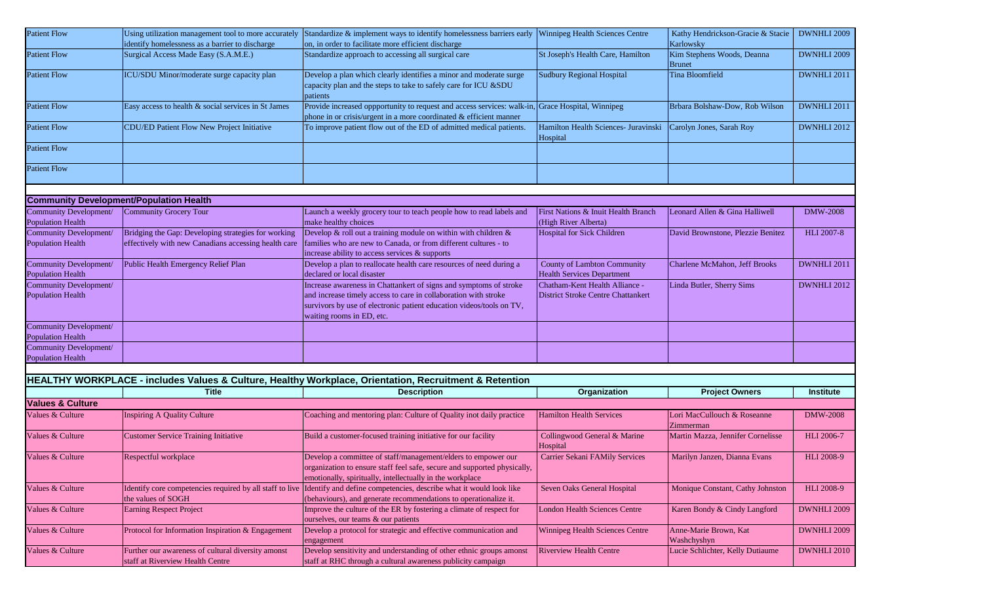| <b>Patient Flow</b>                                | Using utilization management tool to more accurately | Standardize & implement ways to identify homelessness barriers early                                                                                                                                                                      | <b>Winnipeg Health Sciences Centre</b>                                      | Kathy Hendrickson-Gracie & Stacie           | DWNHLI 2009       |
|----------------------------------------------------|------------------------------------------------------|-------------------------------------------------------------------------------------------------------------------------------------------------------------------------------------------------------------------------------------------|-----------------------------------------------------------------------------|---------------------------------------------|-------------------|
|                                                    | identify homelessness as a barrier to discharge      | on, in order to facilitate more efficient discharge                                                                                                                                                                                       |                                                                             | Karlowsky                                   |                   |
| <b>Patient Flow</b>                                | Surgical Access Made Easy (S.A.M.E.)                 | Standardize approach to accessing all surgical care                                                                                                                                                                                       | St Joseph's Health Care, Hamilton                                           | Kim Stephens Woods, Deanna<br><b>Brunet</b> | DWNHLI 2009       |
| <b>Patient Flow</b>                                | ICU/SDU Minor/moderate surge capacity plan           | Develop a plan which clearly identifies a minor and moderate surge<br>capacity plan and the steps to take to safely care for ICU &SDU<br>patients                                                                                         | Sudbury Regional Hospital                                                   | Tina Bloomfield                             | DWNHLI 2011       |
| <b>Patient Flow</b>                                | Easy access to health & social services in St James  | Provide increased oppportunity to request and access services: walk-in, Grace Hospital, Winnipeg<br>phone in or crisis/urgent in a more coordinated $&$ efficient manner                                                                  |                                                                             | Brbara Bolshaw-Dow, Rob Wilson              | DWNHLI 2011       |
| <b>Patient Flow</b>                                | CDU/ED Patient Flow New Project Initiative           | To improve patient flow out of the ED of admitted medical patients.                                                                                                                                                                       | Hamilton Health Sciences- Juravinski<br>Hospital                            | Carolyn Jones, Sarah Roy                    | DWNHLI 2012       |
| <b>Patient Flow</b>                                |                                                      |                                                                                                                                                                                                                                           |                                                                             |                                             |                   |
| <b>Patient Flow</b>                                |                                                      |                                                                                                                                                                                                                                           |                                                                             |                                             |                   |
|                                                    | <b>Community Development/Population Health</b>       |                                                                                                                                                                                                                                           |                                                                             |                                             |                   |
|                                                    |                                                      |                                                                                                                                                                                                                                           |                                                                             |                                             |                   |
| Community Development/<br><b>Population Health</b> | Community Grocery Tour                               | Launch a weekly grocery tour to teach people how to read labels and<br>make healthy choices                                                                                                                                               | First Nations & Inuit Health Branch<br>(High River Alberta)                 | Leonard Allen & Gina Halliwell              | <b>DMW-2008</b>   |
| Community Development/                             | Bridging the Gap: Developing strategies for working  | Develop & roll out a training module on within with children $\&$                                                                                                                                                                         | <b>Hospital for Sick Children</b>                                           | David Brownstone, Plezzie Benitez           | <b>HLI 2007-8</b> |
| <b>Population Health</b>                           | effectively with new Canadians accessing health care | families who are new to Canada, or from different cultures - to<br>increase ability to access services & supports                                                                                                                         |                                                                             |                                             |                   |
| Community Development/<br><b>Population Health</b> | Public Health Emergency Relief Plan                  | Develop a plan to reallocate health care resources of need during a<br>declared or local disaster                                                                                                                                         | <b>County of Lambton Community</b><br><b>Health Services Department</b>     | Charlene McMahon, Jeff Brooks               | DWNHLI 2011       |
| Community Development/<br><b>Population Health</b> |                                                      | Increase awareness in Chattankert of signs and symptoms of stroke<br>and increase timely access to care in collaboration with stroke<br>survivors by use of electronic patient education videos/tools on TV,<br>waiting rooms in ED, etc. | Chatham-Kent Health Alliance -<br><b>District Stroke Centre Chattankert</b> | Linda Butler, Sherry Sims                   | DWNHLI 2012       |
| Community Development/<br><b>Population Health</b> |                                                      |                                                                                                                                                                                                                                           |                                                                             |                                             |                   |
| Community Development/<br><b>Population Health</b> |                                                      |                                                                                                                                                                                                                                           |                                                                             |                                             |                   |
|                                                    |                                                      |                                                                                                                                                                                                                                           |                                                                             |                                             |                   |
|                                                    |                                                      | HEALTHY WORKPLACE - includes Values & Culture, Healthy Workplace, Orientation, Recruitment & Retention                                                                                                                                    |                                                                             |                                             |                   |
|                                                    | Title                                                | <b>Description</b>                                                                                                                                                                                                                        | Organization                                                                | <b>Project Owners</b>                       | <b>Institute</b>  |
|                                                    |                                                      |                                                                                                                                                                                                                                           |                                                                             |                                             |                   |
| <b>Values &amp; Culture</b>                        |                                                      |                                                                                                                                                                                                                                           |                                                                             |                                             |                   |
| Values & Culture                                   | <b>Inspiring A Quality Culture</b>                   | Coaching and mentoring plan: Culture of Quality inot daily practice                                                                                                                                                                       | <b>Hamilton Health Services</b>                                             | Lori MacCullouch & Roseanne<br>Zimmerman    | <b>DMW-2008</b>   |
| Values & Culture                                   | <b>Customer Service Training Initiative</b>          | Build a customer-focused training initiative for our facility                                                                                                                                                                             | Collingwood General & Marine<br>Hospital                                    | Martin Mazza, Jennifer Cornelisse           | <b>HLI</b> 2006-7 |
| Values & Culture                                   | Respectful workplace                                 | Develop a committee of staff/management/elders to empower our<br>organization to ensure staff feel safe, secure and supported physically,<br>emotionally, spiritually, intellectually in the workplace                                    | Carrier Sekani FAMily Services                                              | Marilyn Janzen, Dianna Evans                | HLI 2008-9        |
| Values & Culture                                   | the values of SOGH                                   | Identify core competencies required by all staff to live Identify and define competencies, describe what it would look like<br>(behaviours), and generate recommendations to operationalize it.                                           | Seven Oaks General Hospital                                                 | Monique Constant, Cathy Johnston            | <b>HLI 2008-9</b> |
| Values & Culture                                   | <b>Earning Respect Project</b>                       | Improve the culture of the ER by fostering a climate of respect for<br>ourselves, our teams & our patients                                                                                                                                | <b>London Health Sciences Centre</b>                                        | Karen Bondy & Cindy Langford                | DWNHLI 2009       |
| Values & Culture                                   | Protocol for Information Inspiration & Engagement    | Develop a protocol for strategic and effective communication and<br>engagement                                                                                                                                                            | Winnipeg Health Sciences Centre                                             | Anne-Marie Brown, Kat<br>Washchyshyn        | DWNHLI 2009       |
| Values & Culture                                   | Further our awareness of cultural diversity amonst   | Develop sensitivity and understanding of other ethnic groups amonst                                                                                                                                                                       | <b>Riverview Health Centre</b>                                              | Lucie Schlichter, Kelly Dutiaume            | DWNHLI 2010       |
|                                                    | staff at Riverview Health Centre                     | staff at RHC through a cultural awareness publicity campaign                                                                                                                                                                              |                                                                             |                                             |                   |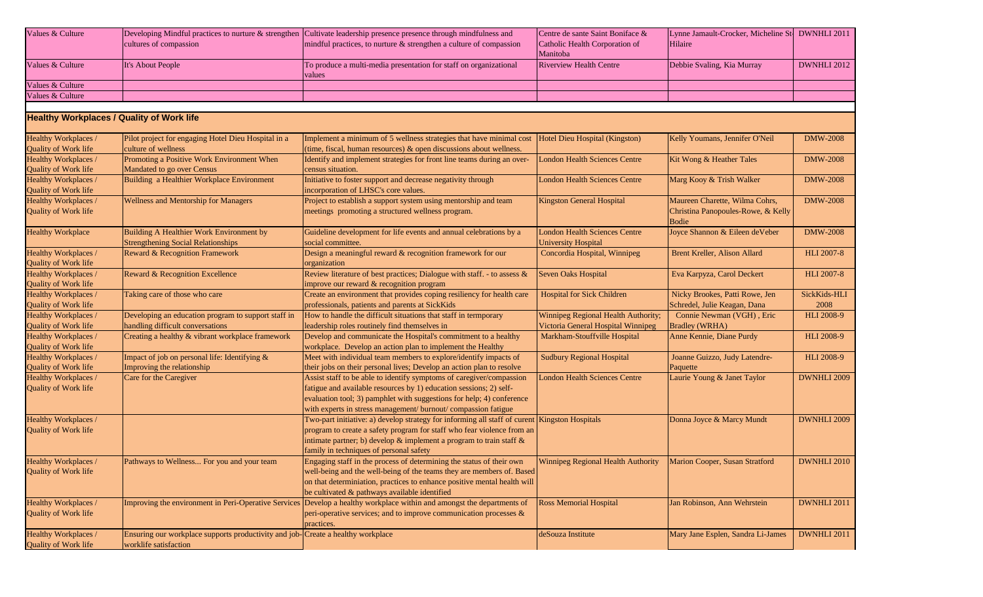| Values & Culture                             |                                                                                 | Developing Mindful practices to nurture $\&$ strengthen Cultivate leadership presence presence through mindfulness and | Centre de sante Saint Boniface &                                  | Lynne Jamault-Crocker, Micheline St. DWNHLI 2011 |                    |
|----------------------------------------------|---------------------------------------------------------------------------------|------------------------------------------------------------------------------------------------------------------------|-------------------------------------------------------------------|--------------------------------------------------|--------------------|
|                                              | cultures of compassion                                                          | mindful practices, to nurture $\&$ strengthen a culture of compassion                                                  | Catholic Health Corporation of                                    | Hilaire                                          |                    |
|                                              |                                                                                 |                                                                                                                        | Manitoba                                                          |                                                  |                    |
| Values & Culture                             | It's About People                                                               | To produce a multi-media presentation for staff on organizational                                                      | <b>Riverview Health Centre</b>                                    | Debbie Svaling, Kia Murray                       | DWNHLI 2012        |
|                                              |                                                                                 | values                                                                                                                 |                                                                   |                                                  |                    |
| Values & Culture                             |                                                                                 |                                                                                                                        |                                                                   |                                                  |                    |
| Values & Culture                             |                                                                                 |                                                                                                                        |                                                                   |                                                  |                    |
|                                              |                                                                                 |                                                                                                                        |                                                                   |                                                  |                    |
|                                              | <b>Healthy Workplaces / Quality of Work life</b>                                |                                                                                                                        |                                                                   |                                                  |                    |
| Healthy Workplaces /                         | Pilot project for engaging Hotel Dieu Hospital in a                             | Implement a minimum of 5 wellness strategies that have minimal cost                                                    | Hotel Dieu Hospital (Kingston)                                    | Kelly Youmans, Jennifer O'Neil                   | <b>DMW-2008</b>    |
| Quality of Work life                         | culture of wellness                                                             | (time, fiscal, human resources) $\&$ open discussions about wellness.                                                  |                                                                   |                                                  |                    |
| Healthy Workplaces /                         | Promoting a Positive Work Environment When                                      | Identify and implement strategies for front line teams during an over-                                                 | <b>London Health Sciences Centre</b>                              | Kit Wong & Heather Tales                         | <b>DMW-2008</b>    |
| <b>Quality of Work life</b>                  | Mandated to go over Census                                                      | census situation.                                                                                                      |                                                                   |                                                  |                    |
| Healthy Workplaces /                         | Building a Healthier Workplace Environment                                      | Initiative to foster support and decrease negativity through                                                           | <b>London Health Sciences Centre</b>                              | Marg Kooy & Trish Walker                         | <b>DMW-2008</b>    |
| <b>Quality of Work life</b>                  |                                                                                 | incorporation of LHSC's core values.                                                                                   |                                                                   |                                                  |                    |
| Healthy Workplaces /                         | Wellness and Mentorship for Managers                                            | Project to establish a support system using mentorship and team                                                        | <b>Kingston General Hospital</b>                                  | Maureen Charette, Wilma Cohrs,                   | <b>DMW-2008</b>    |
| <b>Quality of Work life</b>                  |                                                                                 | meetings promoting a structured wellness program.                                                                      |                                                                   | Christina Panopoules-Rowe, & Kelly               |                    |
|                                              |                                                                                 |                                                                                                                        |                                                                   | <b>Bodie</b>                                     |                    |
| <b>Healthy Workplace</b>                     | Building A Healthier Work Environment by                                        | Guideline development for life events and annual celebrations by a                                                     | <b>London Health Sciences Centre</b>                              | Joyce Shannon & Eileen deVeber                   | <b>DMW-2008</b>    |
|                                              | <b>Strengthening Social Relationships</b>                                       | social committee.                                                                                                      | <b>University Hospital</b>                                        |                                                  |                    |
| Healthy Workplaces /                         | Reward & Recognition Framework                                                  | Design a meaningful reward & recognition framework for our                                                             | Concordia Hospital, Winnipeg                                      | Brent Kreller, Alison Allard                     | <b>HLI 2007-8</b>  |
| Quality of Work life                         |                                                                                 | organization                                                                                                           |                                                                   |                                                  |                    |
| Healthy Workplaces /                         | Reward & Recognition Excellence                                                 | Review literature of best practices; Dialogue with staff. - to assess &                                                | <b>Seven Oaks Hospital</b>                                        | Eva Karpyza, Carol Deckert                       | <b>HLI 2007-8</b>  |
| Quality of Work life                         |                                                                                 | improve our reward & recognition program                                                                               |                                                                   |                                                  |                    |
| Healthy Workplaces /                         | Taking care of those who care                                                   | Create an environment that provides coping resiliency for health care                                                  | <b>Hospital for Sick Children</b>                                 | Nicky Brookes, Patti Rowe, Jen                   | SickKids-HLI       |
| Quality of Work life                         |                                                                                 | professionals, patients and parents at SickKids                                                                        |                                                                   | Schredel, Julie Keagan, Dana                     | 2008               |
| Healthy Workplaces /                         | Developing an education program to support staff in                             | How to handle the difficult situations that staff in termporary                                                        | Winnipeg Regional Health Authority;                               | Connie Newman (VGH), Eric                        | <b>HLI 2008-9</b>  |
| Quality of Work life                         | handling difficult conversations                                                | leadership roles routinely find themselves in                                                                          | Victoria General Hospital Winnipeg                                | <b>Bradley (WRHA)</b>                            |                    |
| Healthy Workplaces /                         | Creating a healthy & vibrant workplace framework                                | Develop and communicate the Hospital's commitment to a healthy                                                         | Markham-Stouffville Hospital                                      | Anne Kennie, Diane Purdy                         | <b>HLI 2008-9</b>  |
| Quality of Work life                         |                                                                                 | workplace. Develop an action plan to implement the Healthy                                                             |                                                                   |                                                  |                    |
| Healthy Workplaces /                         | Impact of job on personal life: Identifying &                                   | Meet with individual team members to explore/identify impacts of                                                       | <b>Sudbury Regional Hospital</b>                                  | Joanne Guizzo, Judy Latendre-                    | <b>HLI 2008-9</b>  |
|                                              | Improving the relationship                                                      | their jobs on their personal lives; Develop an action plan to resolve                                                  |                                                                   | Paquette                                         |                    |
| Quality of Work life<br>Healthy Workplaces / | Care for the Caregiver                                                          | Assist staff to be able to identify symptoms of caregiver/compassion                                                   | <b>London Health Sciences Centre</b>                              | Laurie Young & Janet Taylor                      | DWNHLI 2009        |
| Quality of Work life                         |                                                                                 | fatigue and available resources by 1) education sessions; 2) self-                                                     |                                                                   |                                                  |                    |
|                                              |                                                                                 | evaluation tool; 3) pamphlet with suggestions for help; 4) conference                                                  |                                                                   |                                                  |                    |
|                                              |                                                                                 | with experts in stress management/ burnout/ compassion fatigue                                                         |                                                                   |                                                  |                    |
| Healthy Workplaces /                         |                                                                                 | Two-part initiative: a) develop strategy for informing all staff of curent Kingston Hospitals                          |                                                                   | Donna Joyce & Marcy Mundt                        | DWNHLI 2009        |
| Quality of Work life                         |                                                                                 | program to create a safety program for staff who fear violence from an                                                 |                                                                   |                                                  |                    |
|                                              |                                                                                 | intimate partner; b) develop $\&$ implement a program to train staff $\&$                                              |                                                                   |                                                  |                    |
|                                              |                                                                                 | family in techniques of personal safety                                                                                |                                                                   |                                                  |                    |
| Healthy Workplaces /                         | Pathways to Wellness For you and your team                                      | Engaging staff in the process of determining the status of their own                                                   | Winnipeg Regional Health Authority Marion Cooper, Susan Stratford |                                                  | <b>DWNHLI 2010</b> |
| Quality of Work life                         |                                                                                 | well-being and the well-being of the teams they are members of. Based                                                  |                                                                   |                                                  |                    |
|                                              |                                                                                 | on that determiniation, practices to enhance positive mental health will                                               |                                                                   |                                                  |                    |
|                                              |                                                                                 | be cultivated & pathways available identified                                                                          |                                                                   |                                                  |                    |
| Healthy Workplaces /                         |                                                                                 | Improving the environment in Peri-Operative Services Develop a healthy workplace within and amongst the departments of | <b>Ross Memorial Hospital</b>                                     | Jan Robinson, Ann Wehrstein                      | <b>DWNHLI 2011</b> |
| Quality of Work life                         |                                                                                 | peri-operative services; and to improve communication processes $\&$                                                   |                                                                   |                                                  |                    |
|                                              |                                                                                 | practices.                                                                                                             |                                                                   |                                                  |                    |
| Healthy Workplaces /                         | Ensuring our workplace supports productivity and job-Create a healthy workplace |                                                                                                                        | deSouza Institute                                                 | Mary Jane Esplen, Sandra Li-James                | <b>DWNHLI 2011</b> |
| Quality of Work life                         | worklife satisfaction                                                           |                                                                                                                        |                                                                   |                                                  |                    |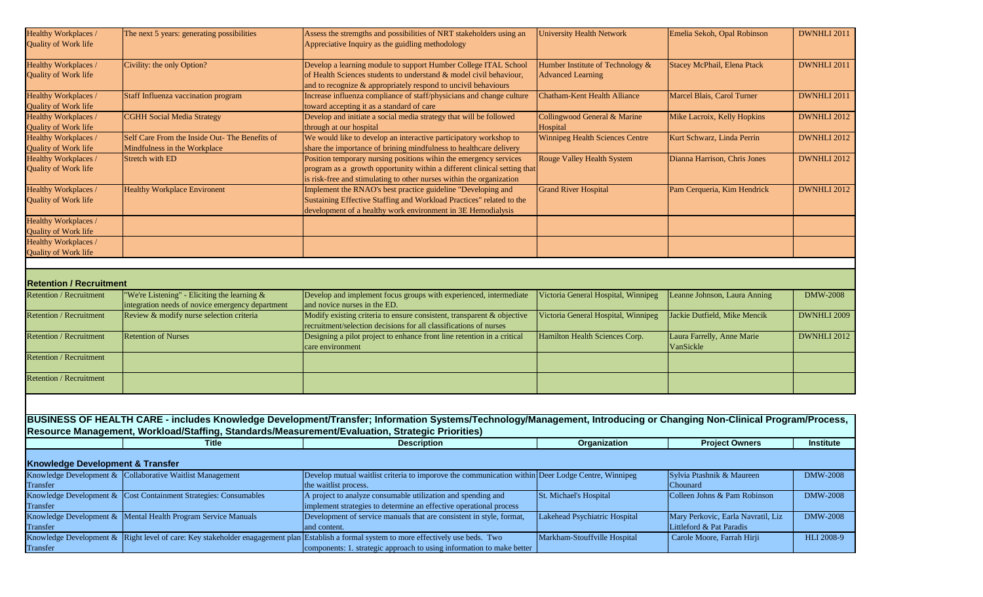| Healthy Workplaces /<br>Quality of Work life | The next 5 years: generating possibilities                                                      | Assess the stremgths and possibilities of NRT stakeholders using an<br>Appreciative Inquiry as the guidling methodology                                             | <b>University Health Network</b>                   | Emelia Sekoh, Opal Robinson        | DWNHLI 2011        |
|----------------------------------------------|-------------------------------------------------------------------------------------------------|---------------------------------------------------------------------------------------------------------------------------------------------------------------------|----------------------------------------------------|------------------------------------|--------------------|
|                                              |                                                                                                 |                                                                                                                                                                     |                                                    |                                    |                    |
| Healthy Workplaces /                         | Civility: the only Option?                                                                      | Develop a learning module to support Humber College ITAL School                                                                                                     | Humber Institute of Technology &                   | Stacey McPhail, Elena Ptack        | DWNHLI 2011        |
| Quality of Work life                         |                                                                                                 | of Health Sciences students to understand & model civil behaviour,<br>and to recognize & appropriately respond to uncivil behaviours                                | <b>Advanced Learning</b>                           |                                    |                    |
| Healthy Workplaces /                         | Staff Influenza vaccination program                                                             | Increase influenza compliance of staff/physicians and change culture                                                                                                | <b>Chatham-Kent Health Alliance</b>                | Marcel Blais, Carol Turner         | DWNHLI 2011        |
| Quality of Work life                         |                                                                                                 | toward accepting it as a standard of care                                                                                                                           |                                                    |                                    |                    |
| Healthy Workplaces /                         | <b>CGHH Social Media Strategy</b>                                                               | Develop and initiate a social media strategy that will be followed                                                                                                  | Collingwood General & Marine                       | Mike Lacroix, Kelly Hopkins        | <b>DWNHLI 2012</b> |
| Quality of Work life<br>Healthy Workplaces / | Self Care From the Inside Out- The Benefits of                                                  | through at our hospital<br>We would like to develop an interactive participatory workshop to                                                                        | Hospital<br><b>Winnipeg Health Sciences Centre</b> | Kurt Schwarz, Linda Perrin         | DWNHLI 2012        |
| Quality of Work life                         | Mindfulness in the Workplace                                                                    | share the importance of brining mindfulness to healthcare delivery                                                                                                  |                                                    |                                    |                    |
| Healthy Workplaces /                         | Stretch with ED                                                                                 | Position temporary nursing positions wihin the emergency services                                                                                                   | Rouge Valley Health System                         | Dianna Harrison, Chris Jones       | DWNHLI 2012        |
| Quality of Work life                         |                                                                                                 | program as a growth opportunity within a different clinical setting that                                                                                            |                                                    |                                    |                    |
|                                              |                                                                                                 | is risk-free and stimulating to other nurses within the organization                                                                                                |                                                    |                                    |                    |
| Healthy Workplaces /                         | <b>Healthy Workplace Environent</b>                                                             | Implement the RNAO's best practice guideline "Developing and                                                                                                        | <b>Grand River Hospital</b>                        | Pam Cerqueria, Kim Hendrick        | <b>DWNHLI 2012</b> |
| Quality of Work life                         |                                                                                                 | Sustaining Effective Staffing and Workload Practices" related to the<br>development of a healthy work environment in 3E Hemodialysis                                |                                                    |                                    |                    |
| Healthy Workplaces /                         |                                                                                                 |                                                                                                                                                                     |                                                    |                                    |                    |
| <b>Quality of Work life</b>                  |                                                                                                 |                                                                                                                                                                     |                                                    |                                    |                    |
| Healthy Workplaces /                         |                                                                                                 |                                                                                                                                                                     |                                                    |                                    |                    |
| Quality of Work life                         |                                                                                                 |                                                                                                                                                                     |                                                    |                                    |                    |
|                                              |                                                                                                 |                                                                                                                                                                     |                                                    |                                    |                    |
| <b>Retention / Recruitment</b>               |                                                                                                 |                                                                                                                                                                     |                                                    |                                    |                    |
| <b>Retention / Recruitment</b>               | 'We're Listening" - Eliciting the learning $&$                                                  | Develop and implement focus groups with experienced, intermediate                                                                                                   | Victoria General Hospital, Winnipeg                | Leanne Johnson, Laura Anning       | <b>DMW-2008</b>    |
|                                              | integration needs of novice emergency department                                                | and novice nurses in the ED.                                                                                                                                        |                                                    |                                    |                    |
| <b>Retention / Recruitment</b>               | Review & modify nurse selection criteria                                                        | Modify existing criteria to ensure consistent, transparent & objective                                                                                              | Victoria General Hospital, Winnipeg                | Jackie Dutfield, Mike Mencik       | DWNHLI 2009        |
| <b>Retention / Recruitment</b>               | <b>Retention of Nurses</b>                                                                      | recruitment/selection decisions for all classifications of nurses<br>Designing a pilot project to enhance front line retention in a critical                        | Hamilton Health Sciences Corp.                     | Laura Farrelly, Anne Marie         | DWNHLI 2012        |
|                                              |                                                                                                 | care environment                                                                                                                                                    |                                                    | VanSickle                          |                    |
| <b>Retention / Recruitment</b>               |                                                                                                 |                                                                                                                                                                     |                                                    |                                    |                    |
|                                              |                                                                                                 |                                                                                                                                                                     |                                                    |                                    |                    |
| <b>Retention / Recruitment</b>               |                                                                                                 |                                                                                                                                                                     |                                                    |                                    |                    |
|                                              |                                                                                                 |                                                                                                                                                                     |                                                    |                                    |                    |
|                                              |                                                                                                 | BUSINESS OF HEALTH CARE - includes Knowledge Development/Transfer; Information Systems/Technology/Management, Introducing or Changing Non-Clinical Program/Process, |                                                    |                                    |                    |
|                                              | Resource Management, Workload/Staffing, Standards/Measurement/Evaluation, Strategic Priorities) |                                                                                                                                                                     |                                                    |                                    |                    |
|                                              | <b>Title</b>                                                                                    | <b>Description</b>                                                                                                                                                  | Organization                                       | <b>Project Owners</b>              | <b>Institute</b>   |
|                                              |                                                                                                 |                                                                                                                                                                     |                                                    |                                    |                    |
| <b>Knowledge Development &amp; Transfer</b>  |                                                                                                 |                                                                                                                                                                     |                                                    |                                    |                    |
|                                              | Knowledge Development $\&$ Collaborative Waitlist Management                                    | Develop mutual waitlist criteria to imporove the communication within Deer Lodge Centre, Winnipeg                                                                   |                                                    | Sylvia Ptashnik & Maureen          | <b>DMW-2008</b>    |
| <b>Fransfer</b>                              |                                                                                                 | the waitlist process.                                                                                                                                               |                                                    | Chounard                           |                    |
| Knowledge Development &<br>Transfer          | Cost Containment Strategies: Consumables                                                        | A project to analyze consumable utilization and spending and<br>implement strategies to determine an effective operational process                                  | St. Michael's Hospital                             | Colleen Johns & Pam Robinson       | <b>DMW-2008</b>    |
| Knowledge Development &                      | Mental Health Program Service Manuals                                                           | Development of service manuals that are consistent in style, format,                                                                                                | Lakehead Psychiatric Hospital                      | Mary Perkovic, Earla Navratil, Liz | <b>DMW-2008</b>    |
| Fransfer                                     |                                                                                                 | and content.                                                                                                                                                        |                                                    | Littleford & Pat Paradis           |                    |
| Knowledge Development &                      |                                                                                                 | Right level of care: Key stakeholder enagagement plan Establish a formal system to more effectively use beds. Two                                                   | Markham-Stouffville Hospital                       | Carole Moore, Farrah Hirji         | HLI 2008-9         |
| Transfer                                     |                                                                                                 | components: 1. strategic approach to using information to make better                                                                                               |                                                    |                                    |                    |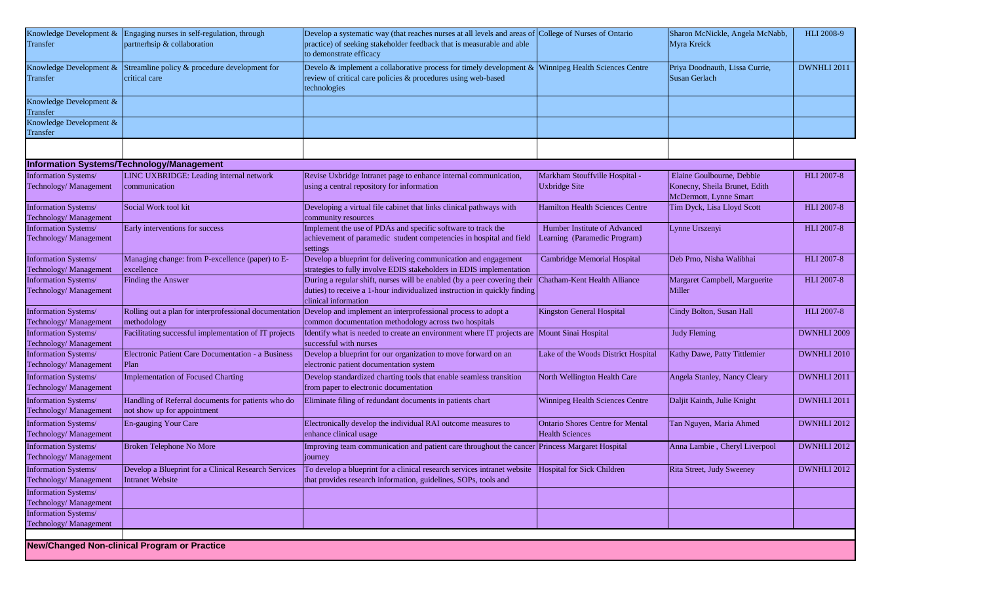| Transfer                                              | Knowledge Development & Engaging nurses in self-regulation, through<br>partnerhsip & collaboration | Develop a systematic way (that reaches nurses at all levels and areas of College of Nurses of Ontario<br>practice) of seeking stakeholder feedback that is measurable and able<br>to demonstrate efficacy |                                                                   | Sharon McNickle, Angela McNabb,<br>Myra Kreick                                       | HLI 2008-9        |
|-------------------------------------------------------|----------------------------------------------------------------------------------------------------|-----------------------------------------------------------------------------------------------------------------------------------------------------------------------------------------------------------|-------------------------------------------------------------------|--------------------------------------------------------------------------------------|-------------------|
| Transfer                                              | Knowledge Development $\&$ Streamline policy $\&$ procedure development for<br>critical care       | Develo & implement a collaborative process for timely development & Winnipeg Health Sciences Centre<br>review of critical care policies & procedures using web-based<br>technologies                      |                                                                   | Priya Doodnauth, Lissa Currie,<br>Susan Gerlach                                      | DWNHLI 2011       |
| Knowledge Development &<br>Transfer                   |                                                                                                    |                                                                                                                                                                                                           |                                                                   |                                                                                      |                   |
| Knowledge Development &<br>Transfer                   |                                                                                                    |                                                                                                                                                                                                           |                                                                   |                                                                                      |                   |
|                                                       |                                                                                                    |                                                                                                                                                                                                           |                                                                   |                                                                                      |                   |
|                                                       | Information Systems/Technology/Management                                                          |                                                                                                                                                                                                           |                                                                   |                                                                                      |                   |
| Information Systems/<br>Technology/ Management        | LINC UXBRIDGE: Leading internal network<br>communication                                           | Revise Uxbridge Intranet page to enhance internal communication,<br>using a central repository for information                                                                                            | Markham Stouffville Hospital -<br><b>Uxbridge Site</b>            | Elaine Goulbourne, Debbie<br>Konecny, Sheila Brunet, Edith<br>McDermott, Lynne Smart | <b>HLI 2007-8</b> |
| <b>Information Systems/</b><br>Technology/ Management | Social Work tool kit                                                                               | Developing a virtual file cabinet that links clinical pathways with<br>community resources                                                                                                                | <b>Hamilton Health Sciences Centre</b>                            | Tim Dyck, Lisa Lloyd Scott                                                           | <b>HLI 2007-8</b> |
| <b>Information Systems/</b><br>Technology/ Management | Early interventions for success                                                                    | Implement the use of PDAs and specific software to track the<br>achievement of paramedic student competencies in hospital and field<br>settings                                                           | Humber Institute of Advanced<br>Learning (Paramedic Program)      | Lynne Urszenyi                                                                       | <b>HLI 2007-8</b> |
| Information Systems/<br>Technology/ Management        | Managing change: from P-excellence (paper) to E-<br>excellence                                     | Develop a blueprint for delivering communication and engagement<br>strategies to fully involve EDIS stakeholders in EDIS implementation                                                                   | Cambridge Memorial Hospital                                       | Deb Prno, Nisha Walibhai                                                             | <b>HLI 2007-8</b> |
| Information Systems/<br>Technology/ Management        | Finding the Answer                                                                                 | During a regular shift, nurses will be enabled (by a peer covering their<br>duties) to receive a 1-hour individualized instruction in quickly finding<br>clinical information                             | Chatham-Kent Health Alliance                                      | Margaret Campbell, Marguerite<br>Miller                                              | <b>HLI 2007-8</b> |
| <b>Information Systems/</b><br>Technology/ Management | methodology                                                                                        | Rolling out a plan for interprofessional documentation Develop and implement an interprofessional process to adopt a<br>common documentation methodology across two hospitals                             | Kingston General Hospital                                         | Cindy Bolton, Susan Hall                                                             | HLI 2007-8        |
| Information Systems/<br>Technology/ Management        | Facilitating successful implementation of IT projects                                              | Identify what is needed to create an environment where IT projects are<br>successful with nurses                                                                                                          | Mount Sinai Hospital                                              | <b>Judy Fleming</b>                                                                  | DWNHLI 2009       |
| Information Systems/<br>Technology/ Management        | Electronic Patient Care Documentation - a Business<br>Plan                                         | Develop a blueprint for our organization to move forward on an<br>electronic patient documentation system                                                                                                 | Lake of the Woods District Hospital                               | Kathy Dawe, Patty Tittlemier                                                         | DWNHLI 2010       |
| <b>Information Systems/</b><br>Technology/ Management | <b>Implementation of Focused Charting</b>                                                          | Develop standardized charting tools that enable seamless transition<br>from paper to electronic documentation                                                                                             | North Wellington Health Care                                      | Angela Stanley, Nancy Cleary                                                         | DWNHLI 2011       |
| Information Systems/<br>Technology/ Management        | Handling of Referral documents for patients who do<br>not show up for appointment                  | Eliminate filing of redundant documents in patients chart                                                                                                                                                 | Winnipeg Health Sciences Centre                                   | Daljit Kainth, Julie Knight                                                          | DWNHLI 2011       |
| <b>Information Systems/</b><br>Technology/ Management | En-gauging Your Care                                                                               | Electronically develop the individual RAI outcome measures to<br>enhance clinical usage                                                                                                                   | <b>Ontario Shores Centre for Mental</b><br><b>Health Sciences</b> | Tan Nguyen, Maria Ahmed                                                              | DWNHLI 2012       |
| <b>Information Systems/</b><br>Technology/ Management | Broken Telephone No More                                                                           | Improving team communication and patient care throughout the cancer Princess Margaret Hospital<br>journey                                                                                                 |                                                                   | Anna Lambie, Cheryl Liverpool                                                        | DWNHLI 2012       |
| Information Systems/<br>Technology/ Management        | Develop a Blueprint for a Clinical Research Services<br><b>Intranet Website</b>                    | To develop a blueprint for a clinical research services intranet website Hospital for Sick Children<br>that provides research information, guidelines, SOPs, tools and                                    |                                                                   | Rita Street, Judy Sweeney                                                            | DWNHLI 2012       |
| <b>Information Systems/</b><br>Technology/ Management |                                                                                                    |                                                                                                                                                                                                           |                                                                   |                                                                                      |                   |
| Information Systems/<br>Technology/ Management        |                                                                                                    |                                                                                                                                                                                                           |                                                                   |                                                                                      |                   |
|                                                       |                                                                                                    |                                                                                                                                                                                                           |                                                                   |                                                                                      |                   |

**New/Changed Non-clinical Program or Practice**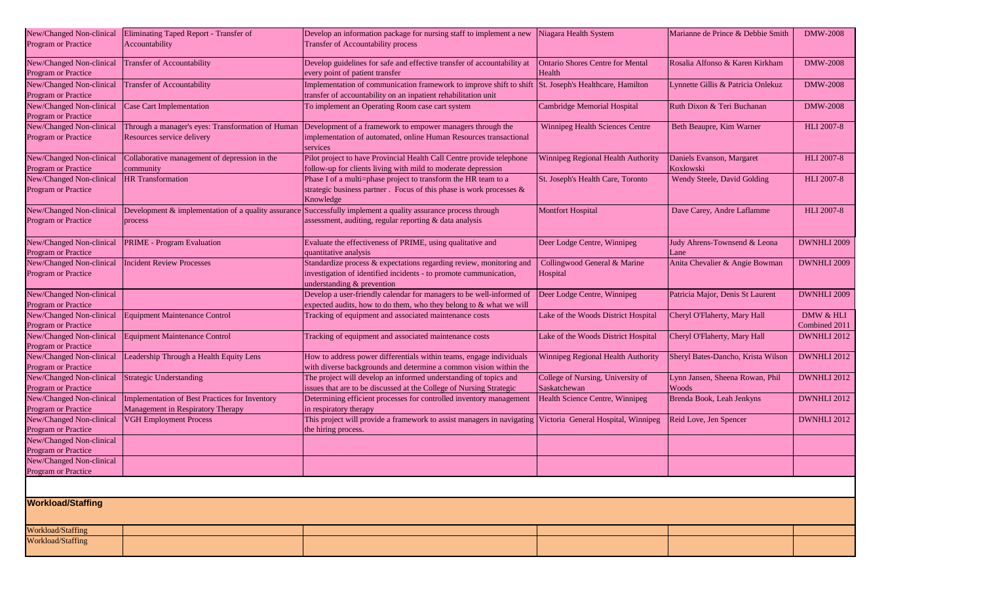| New/Changed Non-clinical<br>Program or Practice | Eliminating Taped Report - Transfer of<br>Accountability                            | Develop an information package for nursing staff to implement a new<br>Transfer of Accountability process                                                                | Niagara Health System                             | Marianne de Prince & Debbie Smith        | <b>DMW-2008</b>            |
|-------------------------------------------------|-------------------------------------------------------------------------------------|--------------------------------------------------------------------------------------------------------------------------------------------------------------------------|---------------------------------------------------|------------------------------------------|----------------------------|
| New/Changed Non-clinical<br>Program or Practice | <b>Transfer of Accountability</b>                                                   | Develop guidelines for safe and effective transfer of accountability at<br>every point of patient transfer                                                               | <b>Ontario Shores Centre for Mental</b><br>Health | Rosalia Alfonso & Karen Kirkham          | <b>DMW-2008</b>            |
| New/Changed Non-clinical<br>Program or Practice | <b>Transfer of Accountability</b>                                                   | Implementation of communication framework to improve shift to shift  St. Joseph's Healthcare, Hamilton<br>transfer of accountability on an inpatient rehabilitation unit |                                                   | Lynnette Gillis & Patricia Onlekuz       | <b>DMW-2008</b>            |
| New/Changed Non-clinical<br>Program or Practice | <b>Case Cart Implementation</b>                                                     | To implement an Operating Room case cart system                                                                                                                          | Cambridge Memorial Hospital                       | Ruth Dixon & Teri Buchanan               | <b>DMW-2008</b>            |
| New/Changed Non-clinical<br>Program or Practice | Through a manager's eyes: Transformation of Human<br>Resources service delivery     | Development of a framework to empower managers through the<br>implementation of automated, online Human Resources transactional<br>services                              | Winnipeg Health Sciences Centre                   | Beth Beaupre, Kim Warner                 | <b>HLI 2007-8</b>          |
| New/Changed Non-clinical<br>Program or Practice | Collaborative management of depression in the<br>community                          | Pilot project to have Provincial Health Call Centre provide telephone<br>follow-up for clients living with mild to moderate depression                                   | Winnipeg Regional Health Authority                | Daniels Evanson, Margaret<br>Koxlowski   | <b>HLI 2007-8</b>          |
| New/Changed Non-clinical<br>Program or Practice | <b>HR</b> Transformation                                                            | Phase I of a multi=phase project to transform the HR team to a<br>strategic business partner. Focus of this phase is work processes &<br>Knowledge                       | St. Joseph's Health Care, Toronto                 | Wendy Steele, David Golding              | <b>HLI 2007-8</b>          |
| New/Changed Non-clinical<br>Program or Practice | Development & implementation of a quality assurance<br>process                      | Successfully implement a quality assurance process through<br>assessment, auditing, regular reporting & data analysis                                                    | <b>Montfort Hospital</b>                          | Dave Carey, Andre Laflamme               | <b>HLI 2007-8</b>          |
| New/Changed Non-clinical<br>Program or Practice | <b>PRIME</b> - Program Evaluation                                                   | Evaluate the effectiveness of PRIME, using qualitative and<br>quantitative analysis                                                                                      | Deer Lodge Centre, Winnipeg                       | Judy Ahrens-Townsend & Leona<br>Lane     | DWNHLI 2009                |
| New/Changed Non-clinical<br>Program or Practice | <b>Incident Review Processes</b>                                                    | Standardize process & expectations regarding review, monitoring and<br>investigation of identified incidents - to promote cummunication,<br>understanding & prevention   | Collingwood General & Marine<br>Hospital          | Anita Chevalier & Angie Bowman           | DWNHLI 2009                |
| New/Changed Non-clinical<br>Program or Practice |                                                                                     | Develop a user-friendly calendar for managers to be well-informed of<br>expected audits, how to do them, who they belong to & what we will                               | Deer Lodge Centre, Winnipeg                       | Patricia Major, Denis St Laurent         | DWNHLI 2009                |
| New/Changed Non-clinical<br>Program or Practice | Equipment Maintenance Control                                                       | Tracking of equipment and associated maintenance costs                                                                                                                   | Lake of the Woods District Hospital               | Cheryl O'Flaherty, Mary Hall             | DMW & HLI<br>Combined 2011 |
| New/Changed Non-clinical<br>Program or Practice | Equipment Maintenance Control                                                       | Tracking of equipment and associated maintenance costs                                                                                                                   | Lake of the Woods District Hospital               | Cheryl O'Flaherty, Mary Hall             | DWNHLI 2012                |
| New/Changed Non-clinical<br>Program or Practice | Leadership Through a Health Equity Lens                                             | How to address power differentials within teams, engage individuals<br>with diverse backgrounds and determine a common vision within the                                 | Winnipeg Regional Health Authority                | Sheryl Bates-Dancho, Krista Wilson       | DWNHLI 2012                |
| New/Changed Non-clinical<br>Program or Practice | <b>Strategic Understanding</b>                                                      | The project will develop an informed understanding of topics and<br>issues that are to be discussed at the College of Nursing Strategic                                  | College of Nursing, University of<br>Saskatchewan | Lynn Jansen, Sheena Rowan, Phil<br>Woods | DWNHLI 2012                |
| New/Changed Non-clinical<br>Program or Practice | Implementation of Best Practices for Inventory<br>Management in Respiratory Therapy | Determining efficient processes for controlled inventory management<br>in respiratory therapy                                                                            | Health Science Centre, Winnipeg                   | Brenda Book, Leah Jenkyns                | DWNHLI 2012                |
| New/Changed Non-clinical<br>Program or Practice | <b>VGH Employment Process</b>                                                       | This project will provide a framework to assist managers in navigating Victoria General Hospital, Winnipeg<br>the hiring process.                                        |                                                   | Reid Love, Jen Spencer                   | DWNHLI 2012                |
| New/Changed Non-clinical<br>Program or Practice |                                                                                     |                                                                                                                                                                          |                                                   |                                          |                            |
| New/Changed Non-clinical<br>Program or Practice |                                                                                     |                                                                                                                                                                          |                                                   |                                          |                            |
|                                                 |                                                                                     |                                                                                                                                                                          |                                                   |                                          |                            |
| <b>Workload/Staffing</b>                        |                                                                                     |                                                                                                                                                                          |                                                   |                                          |                            |
| Workload/Staffing                               |                                                                                     |                                                                                                                                                                          |                                                   |                                          |                            |
| Workload/Staffing                               |                                                                                     |                                                                                                                                                                          |                                                   |                                          |                            |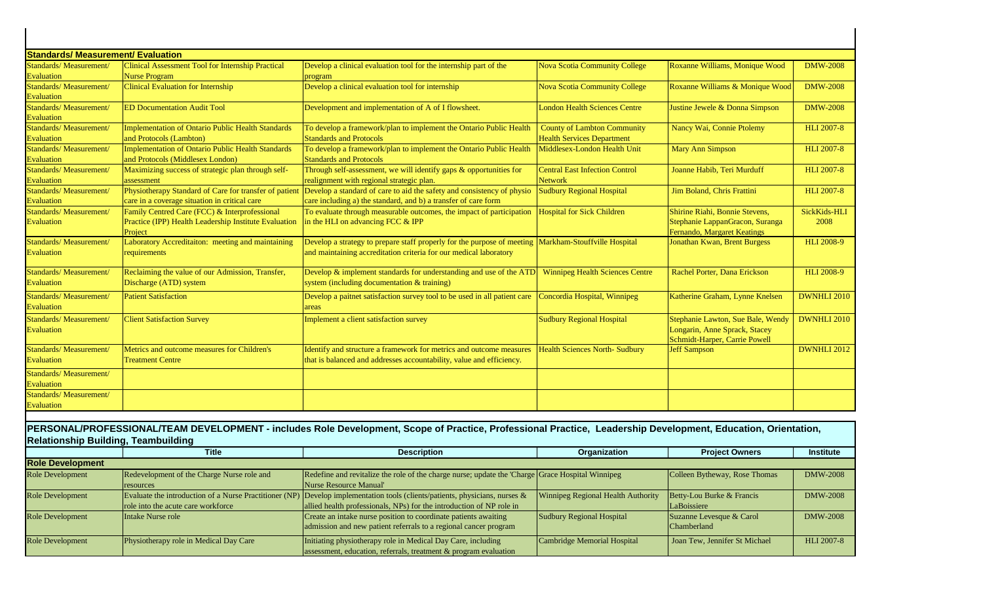| <b>Standards/ Measurement/ Evaluation</b>   |                                                          |                                                                                                                               |                                        |                                     |                    |
|---------------------------------------------|----------------------------------------------------------|-------------------------------------------------------------------------------------------------------------------------------|----------------------------------------|-------------------------------------|--------------------|
| Standards/Measurement/                      | Clinical Assessment Tool for Internship Practical        | Develop a clinical evaluation tool for the internship part of the                                                             | <b>Nova Scotia Community College</b>   | Roxanne Williams, Monique Wood      | <b>DMW-2008</b>    |
| <b>Evaluation</b>                           | <b>Nurse Program</b>                                     | program                                                                                                                       |                                        |                                     |                    |
| Standards/Measurement/                      | <b>Clinical Evaluation for Internship</b>                | Develop a clinical evaluation tool for internship                                                                             | <b>Nova Scotia Community College</b>   | Roxanne Williams & Monique Wood     | <b>DMW-2008</b>    |
| <b>Evaluation</b>                           |                                                          |                                                                                                                               |                                        |                                     |                    |
| Standards/Measurement/                      | <b>ED Documentation Audit Tool</b>                       | Development and implementation of A of I flowsheet.                                                                           | <b>London Health Sciences Centre</b>   | Justine Jewele & Donna Simpson      | <b>DMW-2008</b>    |
| Evaluation                                  |                                                          |                                                                                                                               |                                        |                                     |                    |
| <b>Standards/Measurement/</b>               | <b>Implementation of Ontario Public Health Standards</b> | To develop a framework/plan to implement the Ontario Public Health                                                            | <b>County of Lambton Community</b>     | Nancy Wai, Connie Ptolemy           | <b>HLI 2007-8</b>  |
| Evaluation                                  | and Protocols (Lambton)                                  | <b>Standards and Protocols</b>                                                                                                | <b>Health Services Department</b>      |                                     |                    |
| Standards/Measurement/                      | <b>Implementation of Ontario Public Health Standards</b> | To develop a framework/plan to implement the Ontario Public Health                                                            | Middlesex-London Health Unit           | <b>Mary Ann Simpson</b>             | <b>HLI 2007-8</b>  |
| <b>Evaluation</b>                           | and Protocols (Middlesex London)                         | <b>Standards and Protocols</b>                                                                                                |                                        |                                     |                    |
| <b>Standards/Measurement/</b>               | Maximizing success of strategic plan through self-       | Through self-assessment, we will identify gaps & opportunities for                                                            | <b>Central East Infection Control</b>  | Joanne Habib, Teri Murduff          | <b>HLI 2007-8</b>  |
| <b>Evaluation</b>                           | assessment                                               | realignment with regional strategic plan.                                                                                     | <b>Network</b>                         |                                     |                    |
| Standards/Measurement/                      |                                                          | Physiotherapy Standard of Care for transfer of patient Develop a standard of care to aid the safety and consistency of physio | <b>Sudbury Regional Hospital</b>       | Jim Boland, Chris Frattini          | <b>HLI 2007-8</b>  |
| <b>Evaluation</b>                           | care in a coverage situation in critical care            | care including a) the standard, and b) a transfer of care form                                                                |                                        |                                     |                    |
| Standards/Measurement/                      | Family Centred Care (FCC) & Interprofessional            | To evaluate through measurable outcomes, the impact of participation                                                          | <b>Hospital for Sick Children</b>      | Shirine Riahi, Bonnie Stevens.      | SickKids-HLI       |
| <b>Evaluation</b>                           | Practice (IPP) Health Leadership Institute Evaluation    | in the HLI on advancing FCC & IPP                                                                                             |                                        | Stephanie LappanGracon, Suranga     | 2008               |
|                                             | Project                                                  |                                                                                                                               |                                        | Fernando, Margaret Keatings         |                    |
| Standards/Measurement/<br><b>Evaluation</b> | Laboratory Accreditaiton: meeting and maintaining        | Develop a strategy to prepare staff properly for the purpose of meeting                                                       | Markham-Stouffville Hospital           | <b>Jonathan Kwan, Brent Burgess</b> | <b>HLI 2008-9</b>  |
|                                             | requirements                                             | and maintaining accreditation criteria for our medical laboratory                                                             |                                        |                                     |                    |
| Standards/Measurement/                      | Reclaiming the value of our Admission, Transfer,         | Develop & implement standards for understanding and use of the ATD                                                            | <b>Winnipeg Health Sciences Centre</b> | Rachel Porter, Dana Erickson        | <b>HLI 2008-9</b>  |
| Evaluation                                  | Discharge (ATD) system                                   | system (including documentation & training)                                                                                   |                                        |                                     |                    |
| Standards/Measurement/                      | <b>Patient Satisfaction</b>                              | Develop a paitnet satisfaction survey tool to be used in all patient care                                                     | Concordia Hospital, Winnipeg           | Katherine Graham, Lynne Knelsen     | <b>DWNHLI 2010</b> |
| <b>Evaluation</b>                           |                                                          | areas                                                                                                                         |                                        |                                     |                    |
| Standards/Measurement/                      | <b>Client Satisfaction Survey</b>                        | Implement a client satisfaction survey                                                                                        | <b>Sudbury Regional Hospital</b>       | Stephanie Lawton, Sue Bale, Wendy   | <b>DWNHLI 2010</b> |
| Evaluation                                  |                                                          |                                                                                                                               |                                        | Longarin, Anne Sprack, Stacey       |                    |
|                                             |                                                          |                                                                                                                               |                                        | Schmidt-Harper, Carrie Powell       |                    |
| <b>Standards/Measurement/</b>               | Metrics and outcome measures for Children's              | Identify and structure a framework for metrics and outcome measures                                                           | <b>Health Sciences North- Sudbury</b>  | <b>Jeff Sampson</b>                 | <b>DWNHLI 2012</b> |
| Evaluation                                  | <b>Treatment Centre</b>                                  | that is balanced and addresses accountability, value and efficiency.                                                          |                                        |                                     |                    |
| Standards/Measurement/                      |                                                          |                                                                                                                               |                                        |                                     |                    |
| <b>Evaluation</b>                           |                                                          |                                                                                                                               |                                        |                                     |                    |
| Standards/Measurement/                      |                                                          |                                                                                                                               |                                        |                                     |                    |
| Evaluation                                  |                                                          |                                                                                                                               |                                        |                                     |                    |
|                                             |                                                          |                                                                                                                               |                                        |                                     |                    |

## **PERSONAL/PROFESSIONAL/TEAM DEVELOPMENT - includes Role Development, Scope of Practice, Professional Practice, Leadership Development, Education, Orientation, Relationship Building, Teambuilding**

|                         | <b>Title</b>                               | <b>Description</b>                                                                                                             | Organization                              | <b>Project Owners</b>         | <b>Institute</b>  |
|-------------------------|--------------------------------------------|--------------------------------------------------------------------------------------------------------------------------------|-------------------------------------------|-------------------------------|-------------------|
| <b>Role Development</b> |                                            |                                                                                                                                |                                           |                               |                   |
| <b>Role Development</b> | Redevelopment of the Charge Nurse role and | Redefine and revitalize the role of the charge nurse; update the 'Charge Grace Hospital Winnipeg                               |                                           | Colleen Bytheway, Rose Thomas | <b>DMW-2008</b>   |
|                         | resources                                  | Nurse Resource Manual'                                                                                                         |                                           |                               |                   |
| Role Development        |                                            | Evaluate the introduction of a Nurse Practitioner (NP) Develop implementation tools (clients/patients, physicians, nurses $\&$ | <b>Winnipeg Regional Health Authority</b> | Betty-Lou Burke & Francis     | <b>DMW-2008</b>   |
|                         | role into the acute care workforce         | allied health professionals, NPs) for the introduction of NP role in                                                           |                                           | LaBoissiere                   |                   |
| Role Development        | Intake Nurse role                          | Create an intake nurse position to coordinate patients awaiting                                                                | Sudbury Regional Hospital                 | Suzanne Levesque & Carol      | <b>DMW-2008</b>   |
|                         |                                            | admission and new patient referrals to a regional cancer program                                                               |                                           | <b>Chamberland</b>            |                   |
| <b>Role Development</b> | Physiotherapy role in Medical Day Care     | Initiating physiotherapy role in Medical Day Care, including                                                                   | Cambridge Memorial Hospital               | Joan Tew, Jennifer St Michael | <b>HLI 2007-8</b> |
|                         |                                            | assessment, education, referrals, treatment & program evaluation                                                               |                                           |                               |                   |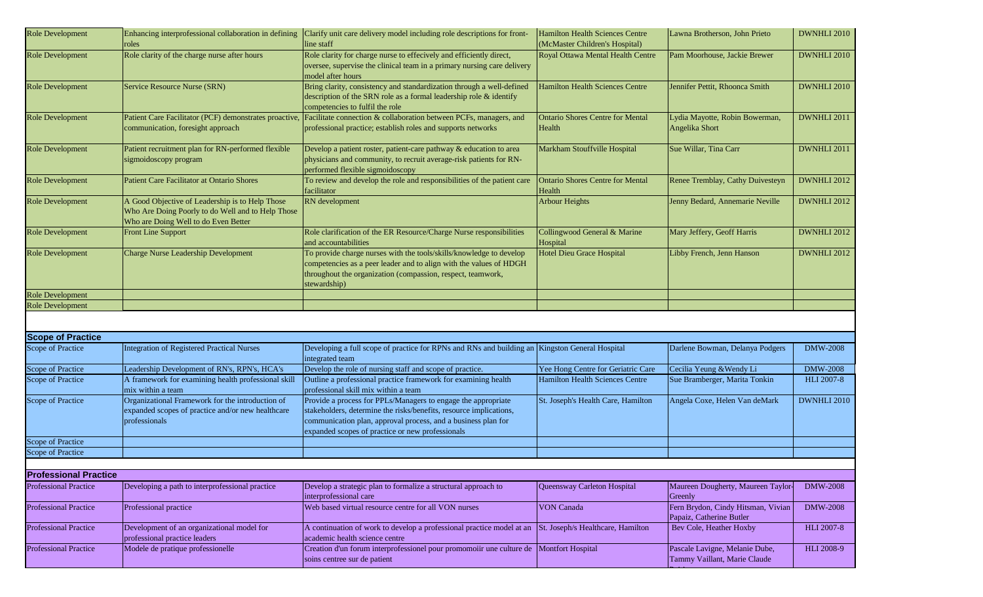| Role Development             | Enhancing interprofessional collaboration in defining<br>roles                                                         | Clarify unit care delivery model including role descriptions for front-<br>line staff                                                                                                                                                                    | Hamilton Health Sciences Centre<br>(McMaster Children's Hospital) | Lawna Brotherson, John Prieto                                  | DWNHLI 2010        |
|------------------------------|------------------------------------------------------------------------------------------------------------------------|----------------------------------------------------------------------------------------------------------------------------------------------------------------------------------------------------------------------------------------------------------|-------------------------------------------------------------------|----------------------------------------------------------------|--------------------|
|                              |                                                                                                                        |                                                                                                                                                                                                                                                          |                                                                   |                                                                |                    |
| Role Development             | Role clarity of the charge nurse after hours                                                                           | Role clarity for charge nurse to effecively and efficiently direct,<br>oversee, supervise the clinical team in a primary nursing care delivery<br>model after hours                                                                                      | Royal Ottawa Mental Health Centre                                 | Pam Moorhouse, Jackie Brewer                                   | DWNHLI 2010        |
| <b>Role Development</b>      | Service Resource Nurse (SRN)                                                                                           | Bring clarity, consistency and standardization through a well-defined<br>description of the SRN role as a formal leadership role & identify<br>competencies to fulfil the role                                                                           | <b>Hamilton Health Sciences Centre</b>                            | Jennifer Pettit, Rhoonca Smith                                 | <b>DWNHLI 2010</b> |
| <b>Role Development</b>      | communication, foresight approach                                                                                      | Patient Care Facilitator (PCF) demonstrates proactive, Facilitate connection & collaboration between PCFs, managers, and<br>professional practice; establish roles and supports networks                                                                 | <b>Ontario Shores Centre for Mental</b><br>Health                 | Lydia Mayotte, Robin Bowerman,<br>Angelika Short               | DWNHLI 2011        |
| <b>Role Development</b>      | Patient recruitment plan for RN-performed flexible<br>sigmoidoscopy program                                            | Develop a patient roster, patient-care pathway & education to area<br>physicians and community, to recruit average-risk patients for RN-<br>performed flexible sigmoidoscopy                                                                             | Markham Stouffville Hospital                                      | Sue Willar, Tina Carr                                          | DWNHLI 2011        |
| <b>Role Development</b>      | <b>Patient Care Facilitator at Ontario Shores</b>                                                                      | To review and develop the role and responsibilities of the patient care<br>facilitator                                                                                                                                                                   | <b>Ontario Shores Centre for Mental</b><br>Health                 | Renee Tremblay, Cathy Duivesteyn                               | DWNHLI 2012        |
| <b>Role Development</b>      | A Good Objective of Leadership is to Help Those                                                                        | RN development                                                                                                                                                                                                                                           | <b>Arbour Heights</b>                                             | Jenny Bedard, Annemarie Neville                                | DWNHLI 2012        |
|                              | Who Are Doing Poorly to do Well and to Help Those<br>Who are Doing Well to do Even Better                              |                                                                                                                                                                                                                                                          |                                                                   |                                                                |                    |
| Role Development             | <b>Front Line Support</b>                                                                                              | Role clarification of the ER Resource/Charge Nurse responsibilities<br>and accountabilities                                                                                                                                                              | Collingwood General & Marine<br>Hospital                          | Mary Jeffery, Geoff Harris                                     | DWNHLI 2012        |
| <b>Role Development</b>      | <b>Charge Nurse Leadership Development</b>                                                                             | To provide charge nurses with the tools/skills/knowledge to develop<br>competencies as a peer leader and to align with the values of HDGH<br>throughout the organization (compassion, respect, teamwork,<br>stewardship)                                 | <b>Hotel Dieu Grace Hospital</b>                                  | Libby French, Jenn Hanson                                      | DWNHLI 2012        |
| Role Development             |                                                                                                                        |                                                                                                                                                                                                                                                          |                                                                   |                                                                |                    |
| <b>Role Development</b>      |                                                                                                                        |                                                                                                                                                                                                                                                          |                                                                   |                                                                |                    |
|                              |                                                                                                                        |                                                                                                                                                                                                                                                          |                                                                   |                                                                |                    |
| <b>Scope of Practice</b>     |                                                                                                                        |                                                                                                                                                                                                                                                          |                                                                   |                                                                |                    |
| Scope of Practice            | <b>Integration of Registered Practical Nurses</b>                                                                      | Developing a full scope of practice for RPNs and RNs and building an Kingston General Hospital<br>integrated team                                                                                                                                        |                                                                   | Darlene Bowman, Delanya Podgers                                | <b>DMW-2008</b>    |
| Scope of Practice            | Leadership Development of RN's, RPN's, HCA's                                                                           | Develop the role of nursing staff and scope of practice.                                                                                                                                                                                                 | Yee Hong Centre for Geriatric Care                                | Cecilia Yeung & Wendy Li                                       | <b>DMW-2008</b>    |
| Scope of Practice            | A framework for examining health professional skill                                                                    | Outline a professional practice framework for examining health                                                                                                                                                                                           | <b>Hamilton Health Sciences Centre</b>                            | Sue Bramberger, Marita Tonkin                                  | <b>HLI 2007-8</b>  |
|                              | mix within a team                                                                                                      | professional skill mix within a team                                                                                                                                                                                                                     |                                                                   |                                                                |                    |
| Scope of Practice            | Organizational Framework for the introduction of<br>expanded scopes of practice and/or new healthcare<br>professionals | Provide a process for PPLs/Managers to engage the appropriate<br>stakeholders, determine the risks/benefits, resource implications,<br>communication plan, approval process, and a business plan for<br>expanded scopes of practice or new professionals | St. Joseph's Health Care, Hamilton                                | Angela Coxe, Helen Van deMark                                  | DWNHLI 2010        |
| Scope of Practice            |                                                                                                                        |                                                                                                                                                                                                                                                          |                                                                   |                                                                |                    |
| Scope of Practice            |                                                                                                                        |                                                                                                                                                                                                                                                          |                                                                   |                                                                |                    |
|                              |                                                                                                                        |                                                                                                                                                                                                                                                          |                                                                   |                                                                |                    |
| <b>Professional Practice</b> |                                                                                                                        |                                                                                                                                                                                                                                                          |                                                                   |                                                                |                    |
| <b>Professional Practice</b> | Developing a path to interprofessional practice                                                                        | Develop a strategic plan to formalize a structural approach to<br>interprofessional care                                                                                                                                                                 | Queensway Carleton Hospital                                       | Maureen Dougherty, Maureen Taylor-<br>Greenly                  | <b>DMW-2008</b>    |
| <b>Professional Practice</b> | Professional practice                                                                                                  | Web based virtual resource centre for all VON nurses                                                                                                                                                                                                     | <b>VON Canada</b>                                                 | Fern Brydon, Cindy Hitsman, Vivian<br>Papaiz, Catherine Butler | <b>DMW-2008</b>    |
| <b>Professional Practice</b> | Development of an organizational model for<br>professional practice leaders                                            | A continuation of work to develop a professional practice model at an<br>academic health science centre                                                                                                                                                  | St. Joseph/s Healthcare, Hamilton                                 | Bev Cole, Heather Hoxby                                        | <b>HLI 2007-8</b>  |
| <b>Professional Practice</b> | Modele de pratique professionelle                                                                                      | Creation d'un forum interprofessionel pour promomoiir une culture de<br>soins centree sur de patient                                                                                                                                                     | <b>Montfort Hospital</b>                                          | Pascale Lavigne, Melanie Dube,<br>Tammy Vaillant, Marie Claude | HLI 2008-9         |

Poirier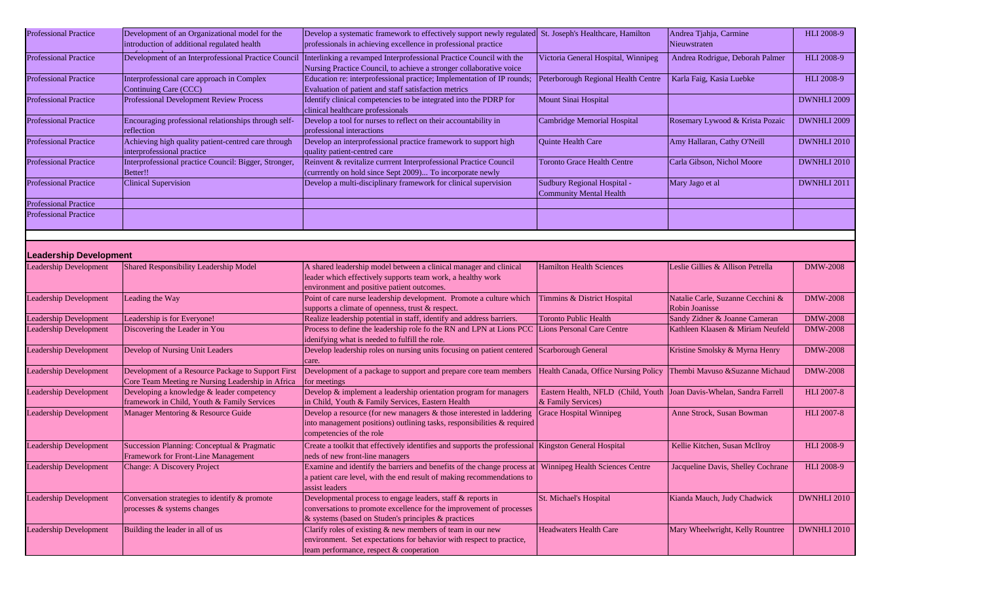| <b>Professional Practice</b>  | Development of an Organizational model for the<br>introduction of additional regulated health           | Develop a systematic framework to effectively support newly regulated St. Joseph's Healthcare, Hamilton<br>professionals in achieving excellence in professional practice                             |                                                                                            | Andrea Tjahja, Carmine<br>Nieuwstraten              | <b>HLI 2008-9</b>  |
|-------------------------------|---------------------------------------------------------------------------------------------------------|-------------------------------------------------------------------------------------------------------------------------------------------------------------------------------------------------------|--------------------------------------------------------------------------------------------|-----------------------------------------------------|--------------------|
| <b>Professional Practice</b>  | Development of an Interprofessional Practice Council                                                    | Interlinking a revamped Interprofessional Practice Council with the<br>Nursing Practice Council, to achieve a stronger collaborative voice                                                            | Victoria General Hospital, Winnipeg                                                        | Andrea Rodrigue, Deborah Palmer                     | <b>HLI 2008-9</b>  |
| <b>Professional Practice</b>  | Interprofessional care approach in Complex<br>Continuing Care (CCC)                                     | Education re: interprofessional practice; Implementation of IP rounds;<br>Evaluation of patient and staff satisfaction metrics                                                                        | Peterborough Regional Health Centre                                                        | Karla Faig, Kasia Luebke                            | HLI 2008-9         |
| <b>Professional Practice</b>  | <b>Professional Development Review Process</b>                                                          | Identify clinical competencies to be integrated into the PDRP for<br>clinical healthcare professionals                                                                                                | Mount Sinai Hospital                                                                       |                                                     | DWNHLI 2009        |
| <b>Professional Practice</b>  | Encouraging professional relationships through self-<br>reflection                                      | Develop a tool for nurses to reflect on their accountability in<br>professional interactions                                                                                                          | Cambridge Memorial Hospital                                                                | Rosemary Lywood & Krista Pozaic                     | DWNHLI 2009        |
| <b>Professional Practice</b>  | Achieving high quality patient-centred care through<br>interprofessional practice                       | Develop an interprofessional practice framework to support high<br>quality patient-centred care                                                                                                       | Quinte Health Care                                                                         | Amy Hallaran, Cathy O'Neill                         | DWNHLI 2010        |
| <b>Professional Practice</b>  | Interprofessional practice Council: Bigger, Stronger,<br>Better!!                                       | Reinvent & revitalize currrent Interprofessional Practice Council<br>(currrently on hold since Sept 2009) To incorporate newly                                                                        | <b>Toronto Grace Health Centre</b>                                                         | Carla Gibson, Nichol Moore                          | <b>DWNHLI 2010</b> |
| <b>Professional Practice</b>  | <b>Clinical Supervision</b>                                                                             | Develop a multi-disciplinary framework for clinical supervision                                                                                                                                       | Sudbury Regional Hospital -<br><b>Community Mental Health</b>                              | Mary Jago et al                                     | DWNHLI 2011        |
| <b>Professional Practice</b>  |                                                                                                         |                                                                                                                                                                                                       |                                                                                            |                                                     |                    |
| <b>Professional Practice</b>  |                                                                                                         |                                                                                                                                                                                                       |                                                                                            |                                                     |                    |
|                               |                                                                                                         |                                                                                                                                                                                                       |                                                                                            |                                                     |                    |
| <b>Leadership Development</b> |                                                                                                         |                                                                                                                                                                                                       |                                                                                            |                                                     |                    |
| <b>Leadership Development</b> | Shared Responsibility Leadership Model                                                                  | A shared leadership model between a clinical manager and clinical<br>leader which effectively supports team work, a healthy work<br>environment and positive patient outcomes.                        | <b>Hamilton Health Sciences</b>                                                            | Leslie Gillies & Allison Petrella                   | <b>DMW-2008</b>    |
| <b>Leadership Development</b> | Leading the Way                                                                                         | Point of care nurse leadership development. Promote a culture which<br>supports a climate of openness, trust & respect.                                                                               | Timmins & District Hospital                                                                | Natalie Carle, Suzanne Cecchini &<br>Robin Joanisse | <b>DMW-2008</b>    |
| <b>Leadership Development</b> | Leadership is for Everyone!                                                                             | Realize leadership potential in staff, identify and address barriers.                                                                                                                                 | <b>Toronto Public Health</b>                                                               | Sandy Zidner & Joanne Cameran                       | <b>DMW-2008</b>    |
| Leadership Development        | Discovering the Leader in You                                                                           | Process to define the leadership role fo the RN and LPN at Lions PCC Lions Personal Care Centre                                                                                                       |                                                                                            | Kathleen Klaasen & Miriam Neufeld                   | <b>DMW-2008</b>    |
|                               |                                                                                                         | idenifying what is needed to fulfill the role.                                                                                                                                                        |                                                                                            |                                                     |                    |
| <b>Leadership Development</b> | Develop of Nursing Unit Leaders                                                                         | Develop leadership roles on nursing units focusing on patient centered<br>care.                                                                                                                       | Scarborough General                                                                        | Kristine Smolsky & Myrna Henry                      | <b>DMW-2008</b>    |
| <b>Leadership Development</b> | Development of a Resource Package to Support First<br>Core Team Meeting re Nursing Leadership in Africa | Development of a package to support and prepare core team members<br>for meetings                                                                                                                     | Health Canada, Office Nursing Policy                                                       | Thembi Mavuso &Suzanne Michaud                      | <b>DMW-2008</b>    |
| <b>Leadership Development</b> | Developing a knowledge & leader competency<br>framework in Child, Youth & Family Services               | Develop & implement a leadership orientation program for managers<br>in Child, Youth & Family Services, Eastern Health                                                                                | Eastern Health, NFLD (Child, Youth Joan Davis-Whelan, Sandra Farrell<br>& Family Services) |                                                     | <b>HLI 2007-8</b>  |
| <b>Leadership Development</b> | Manager Mentoring & Resource Guide                                                                      | Develop a resource (for new managers $&$ those interested in laddering<br>into management positions) outlining tasks, responsibilities & required<br>competencies of the role                         | <b>Grace Hospital Winnipeg</b>                                                             | Anne Strock, Susan Bowman                           | <b>HLI 2007-8</b>  |
| <b>Leadership Development</b> | Succession Planning: Conceptual & Pragmatic<br>Framework for Front-Line Management                      | Create a toolkit that effectively identifies and supports the professional Kingston General Hospital<br>neds of new front-line managers                                                               |                                                                                            | Kellie Kitchen, Susan McIlroy                       | <b>HLI 2008-9</b>  |
| <b>Leadership Development</b> | <b>Change: A Discovery Project</b>                                                                      | Examine and identify the barriers and benefits of the change process at   Winnipeg Health Sciences Centre<br>a patient care level, with the end result of making recommendations to<br>assist leaders |                                                                                            | Jacqueline Davis, Shelley Cochrane                  | <b>HLI 2008-9</b>  |
| <b>Leadership Development</b> | Conversation strategies to identify & promote<br>processes & systems changes                            | Developmental process to engage leaders, staff & reports in<br>conversations to promote excellence for the improvement of processes<br>& systems (based on Studen's principles & practices            | St. Michael's Hospital                                                                     | Kianda Mauch, Judy Chadwick                         | DWNHLI 2010        |
| <b>Leadership Development</b> | Building the leader in all of us                                                                        | Clarify roles of existing & new members of team in our new<br>environment. Set expectations for behavior with respect to practice,<br>team performance, respect & cooperation                         | <b>Headwaters Health Care</b>                                                              | Mary Wheelwright, Kelly Rountree                    | DWNHLI 2010        |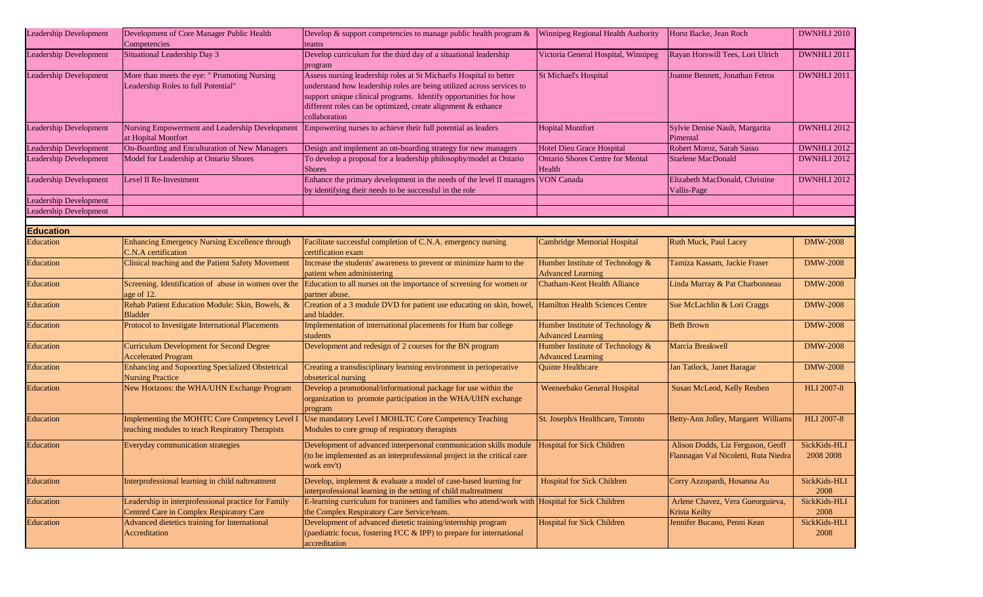| <b>Leadership Development</b> | Development of Core Manager Public Health<br>Competencies                                          | Develop & support competencies to manage public health program $\&$<br>teams                                                                                                                                                                                                                     | Winnipeg Regional Health Authority                           | Horst Backe, Jean Roch                                                    | DWNHLI 2010               |
|-------------------------------|----------------------------------------------------------------------------------------------------|--------------------------------------------------------------------------------------------------------------------------------------------------------------------------------------------------------------------------------------------------------------------------------------------------|--------------------------------------------------------------|---------------------------------------------------------------------------|---------------------------|
| Leadership Development        | Situational Leadership Day 3                                                                       | Develop curriculum for the third day of a situational leadership<br>program                                                                                                                                                                                                                      | Victoria General Hospital, Winnipeg                          | Rayan Horswill Tees, Lori Ulrich                                          | DWNHLI 2011               |
| <b>Leadership Development</b> | More than meets the eye: " Promoting Nursing<br>Leadership Roles to full Potential"                | Assess nursing leadership roles at St Michael\s Hospital to better<br>understand how leadership roles are being utilized across services to<br>support unique clinical programs. Identify opportunities for how<br>different roles can be optimized, create alignment & enhance<br>collaboration | <b>St Michael's Hospital</b>                                 | Joanne Bennett, Jonathan Fetros                                           | DWNHLI 2011               |
| <b>Leadership Development</b> | Nursing Empowerment and Leadership Development<br>at Hopital Montfort                              | Empowering nurses to achieve their full potential as leaders                                                                                                                                                                                                                                     | <b>Hopital Montfort</b>                                      | Sylvie Denise Nault, Margarita<br>Pimental                                | <b>DWNHLI 2012</b>        |
| Leadership Development        | On-Boarding and Enculturation of New Managers                                                      | Design and implement an on-boarding strategy for new managers                                                                                                                                                                                                                                    | Hotel Dieu Grace Hospital                                    | Robert Moroz, Sarah Sasso                                                 | DWNHLI 2012               |
| Leadership Development        | Model for Leadership at Ontario Shores                                                             | To develop a proposal for a leadership philosophy/model at Ontario<br><b>Shores</b>                                                                                                                                                                                                              | <b>Ontario Shores Centre for Mental</b><br>Health            | <b>Starlene MacDonald</b>                                                 | <b>DWNHLI 2012</b>        |
| <b>Leadership Development</b> | Level II Re-Investment                                                                             | Enhance the primary development in the needs of the level II managers<br>by identifying their needs to be successful in the role                                                                                                                                                                 | <b>VON Canada</b>                                            | Elizabeth MacDonald, Christine<br>Vallis-Page                             | DWNHLI 2012               |
| eadership Development         |                                                                                                    |                                                                                                                                                                                                                                                                                                  |                                                              |                                                                           |                           |
| Leadership Development        |                                                                                                    |                                                                                                                                                                                                                                                                                                  |                                                              |                                                                           |                           |
|                               |                                                                                                    |                                                                                                                                                                                                                                                                                                  |                                                              |                                                                           |                           |
| <b>Education</b>              |                                                                                                    |                                                                                                                                                                                                                                                                                                  |                                                              |                                                                           |                           |
| Education                     | Enhancing Emergency Nursing Excellence through<br>C.N.A certification                              | Facilitate successful completion of C.N.A. emergency nursing<br>certification exam                                                                                                                                                                                                               | Cambridge Memorial Hospital                                  | Ruth Muck, Paul Lacey                                                     | <b>DMW-2008</b>           |
| Education                     | Clinical teaching and the Patient Safety Movement                                                  | Increase the students' awareness to prevent or minimize harm to the<br>patient when administering                                                                                                                                                                                                | Humber Institute of Technology &<br><b>Advanced Learning</b> | Tamiza Kassam, Jackie Fraser                                              | <b>DMW-2008</b>           |
| Education                     | Screening. Identification of abuse in women over the<br>age of 12.                                 | Education to all nurses on the importance of screening for women or<br>partner abuse.                                                                                                                                                                                                            | <b>Chatham-Kent Health Alliance</b>                          | Linda Murray & Pat Charbonneau                                            | <b>DMW-2008</b>           |
| <b>Education</b>              | Rehab Patient Education Module: Skin, Bowels, &<br><b>Bladder</b>                                  | Creation of a 3 module DVD for patient use educating on skin, bowel,<br>and bladder.                                                                                                                                                                                                             | <b>Hamilton Health Sciences Centre</b>                       | Sue McLachlin & Lori Craggs                                               | <b>DMW-2008</b>           |
| Education                     | Protocol to Investigate International Placements                                                   | Implementation of international placements for Hum bar college<br>students                                                                                                                                                                                                                       | Humber Institute of Technology &<br><b>Advanced Learning</b> | <b>Beth Brown</b>                                                         | <b>DMW-2008</b>           |
| Education                     | <b>Curriculum Development for Second Degree</b><br><b>Accelerated Program</b>                      | Development and redesign of 2 courses for the BN program                                                                                                                                                                                                                                         | Humber Institute of Technology &<br><b>Advanced Learning</b> | Marcia Breakwell                                                          | <b>DMW-2008</b>           |
| Education                     | Enhancing and Supoorting Specialized Obstetrical<br><b>Nursing Practice</b>                        | Creating a transdisciplinary learning environment in perioperative<br>obseterical nursing                                                                                                                                                                                                        | Quinte Healthcare                                            | Jan Tatlock, Janet Baragar                                                | <b>DMW-2008</b>           |
| Education                     | New Horizons: the WHA/UHN Exchange Program                                                         | Develop a promotional/informational package for use within the<br>organization to promote participation in the WHA/UHN exchange<br>program                                                                                                                                                       | Weeneebako General Hospital                                  | Susan McLeod, Kelly Reuben                                                | <b>HLI 2007-8</b>         |
| Education                     | Implementing the MOHTC Core Competency Level I<br>teaching modules to teach Respiratory Therapists | Use mandatory Level I MOHLTC Core Competency Teaching<br>Modules to core group of respiratory therapists                                                                                                                                                                                         | St. Joseph/s Healthcare, Toronto                             | Betty-Ann Jolley, Margaret Williams                                       | <b>HLI 2007-8</b>         |
| Education                     | Everyday communication strategies                                                                  | Development of advanced interpersonal communication skills module<br>(to be implemented as an interprofessional project in the critical care<br>work env't)                                                                                                                                      | <b>Hospital for Sick Children</b>                            | Alison Dodds, Liz Ferguson, Geoff<br>Flannagan Val Nicoletti, Ruta Niedra | SickKids-HLI<br>2008 2008 |
| Education                     | Interprofessional learning in child naltreatment                                                   | Develop, implement & evaluate a model of case-based learning for<br>interprofessional learning in the setting of child maltreatment                                                                                                                                                              | <b>Hospital for Sick Children</b>                            | Corry Azzopardi, Hosanna Au                                               | SickKids-HLI<br>2008      |
| Education                     | Leadership in interprofessional practice for Family<br>Centred Care in Complex Respiratory Care    | E-learning curriculum for traninees and families who attend/work with Hospital for Sick Children<br>the Complex Respiratory Care Service/team.                                                                                                                                                   |                                                              | Arlene Chavez, Vera Gueorguieva,<br><b>Krista Keilty</b>                  | SickKids-HLI<br>2008      |
| Education                     | Advanced dietetics training for International<br>Accreditation                                     | Development of advanced dietetic training/internship program<br>(paediatric focus, fostering FCC & IPP) to prepare for international<br>accreditation                                                                                                                                            | <b>Hospital for Sick Children</b>                            | Jennifer Bucano, Penni Kean                                               | SickKids-HLI<br>2008      |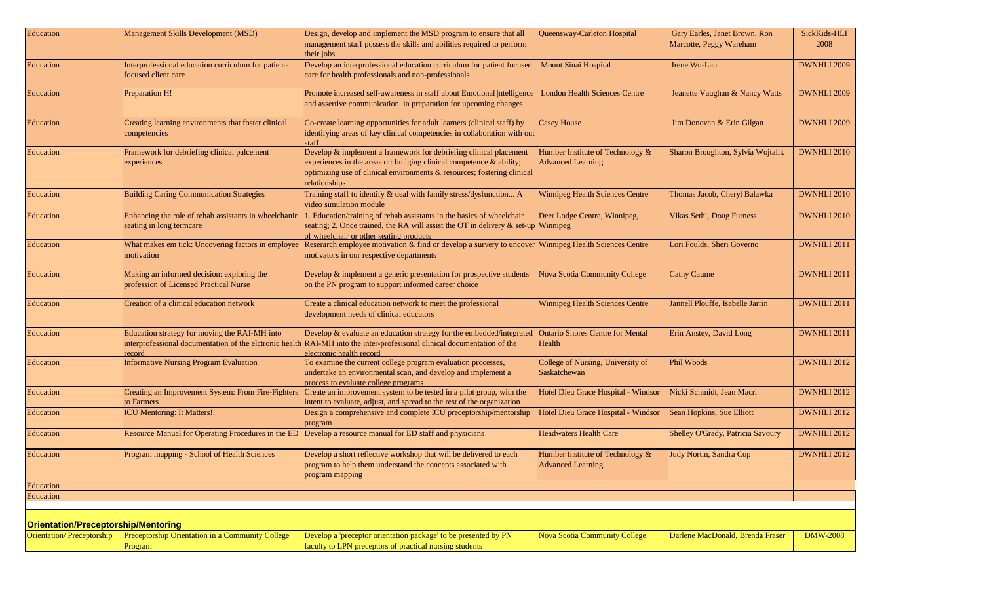| Education                                  | Management Skills Development (MSD)                                                  | Design, develop and implement the MSD program to ensure that all<br>management staff possess the skills and abilities required to perform<br>their jobs                                                                               | Queensway-Carleton Hospital                                  | Gary Earles, Janet Brown, Ron<br>Marcotte, Peggy Wareham | SickKids-HLI<br>2008 |
|--------------------------------------------|--------------------------------------------------------------------------------------|---------------------------------------------------------------------------------------------------------------------------------------------------------------------------------------------------------------------------------------|--------------------------------------------------------------|----------------------------------------------------------|----------------------|
| Education                                  | Interprofessional education curriculum for patient-<br>focused client care           | Develop an interprofessional education curriculum for patient focused<br>care for health professionals and non-professionals                                                                                                          | Mount Sinai Hospital                                         | Irene Wu-Lau                                             | DWNHLI 2009          |
| Education                                  | Preparation H!                                                                       | Promote increased self-awareness in staff about Emotional  ntelligence<br>and assertive communication, in preparation for upcoming changes                                                                                            | <b>London Health Sciences Centre</b>                         | Jeanette Vaughan & Nancy Watts                           | <b>DWNHLI 2009</b>   |
| <b>Education</b>                           | Creating learning environments that foster clinical<br>competencies                  | Co-create learning opportunities for adult learners (clinical staff) by<br>identifying areas of key clinical competencies in collaboration with out<br>staff                                                                          | <b>Casey House</b>                                           | Jim Donovan & Erin Gilgan                                | DWNHLI 2009          |
| Education                                  | Framework for debriefing clinical palcement<br>experiences                           | Develop & implement a framework for debriefing clinical placement<br>experiences in the areas of: buliging clinical competence & ability;<br>optimizing use of clinical environments & resources; fostering clinical<br>relationships | Humber Institute of Technology &<br><b>Advanced Learning</b> | Sharon Broughton, Sylvia Wojtalik                        | DWNHLI 2010          |
| Education                                  | <b>Building Caring Communication Strategies</b>                                      | Training staff to identify & deal with family stress/dysfunction A<br>video simulation module                                                                                                                                         | <b>Winnipeg Health Sciences Centre</b>                       | Thomas Jacob, Cheryl Balawka                             | DWNHLI 2010          |
| Education                                  | Enhancing the role of rehab assistants in wheelchanir<br>seating in long termcare    | 1. Education/training of rehab assistants in the basics of wheelchair<br>seating; 2. Once trained, the RA will assist the OT in delivery $\&$ set-up Winnipeg<br>of wheelchair or other seating products                              | Deer Lodge Centre, Winnipeg,                                 | Vikas Sethi, Doug Furness                                | DWNHLI 2010          |
| Education                                  | What makes em tick: Uncovering factors in employee<br>motivation                     | Reserarch employee motivation & find or develop a survery to uncover<br>motivators in our respective departments                                                                                                                      | Winnipeg Health Sciences Centre                              | Lori Foulds, Sheri Governo                               | DWNHLI 2011          |
| Education                                  | Making an informed decision: exploring the<br>profession of Licensed Practical Nurse | Develop $\&$ implement a generic presentation for prospective students<br>on the PN program to support informed career choice                                                                                                         | <b>Nova Scotia Community College</b>                         | <b>Cathy Caume</b>                                       | DWNHLI 2011          |
| Education                                  | Creation of a clinical education network                                             | Create a clinical education network to meet the professional<br>development needs of clinical educators                                                                                                                               | <b>Winnipeg Health Sciences Centre</b>                       | Jannell Plouffe, Isabelle Jarrin                         | <b>DWNHLI 2011</b>   |
| Education                                  | Education strategy for moving the RAI-MH into<br>record                              | Develop & evaluate an education strategy for the embedded/integrated<br>interprofessional documentation of the elctronic health RAI-MH into the inter-profesisonal clinical documentation of the<br>electronic health record          | <b>Ontario Shores Centre for Mental</b><br>Health            | Erin Anstey, David Long                                  | DWNHLI 2011          |
| Education                                  | <b>Informative Nursing Program Evaluation</b>                                        | To examine the current college program evaluation processes,<br>undertake an environmental scan, and develop and implement a<br>process to evaluate college programs                                                                  | College of Nursing, University of<br>Saskatchewan            | <b>Phil Woods</b>                                        | DWNHLI 2012          |
| Education                                  | Creating an Improvement System: From Fire-Fighters<br>to Farmers                     | Create an improvement system to be tested in a pilot group, with the<br>intent to evaluate, adjust, and spread to the rest of the organization                                                                                        | Hotel Dieu Grace Hospital - Windsor                          | Nicki Schmidt, Jean Macri                                | DWNHLI 2012          |
| Education                                  | <b>ICU Mentoring: It Matters!!</b>                                                   | Design a comprehensive and complete ICU preceptorship/mentorship<br>program                                                                                                                                                           | Hotel Dieu Grace Hospital - Windsor                          | Sean Hopkins, Sue Elliott                                | DWNHLI 2012          |
| Education                                  | Resource Manual for Operating Procedures in the ED                                   | Develop a resource manual for ED staff and physicians                                                                                                                                                                                 | <b>Headwaters Health Care</b>                                | Shelley O'Grady, Patricia Savoury                        | DWNHLI 2012          |
| Education                                  | Program mapping - School of Health Sciences                                          | Develop a short reflective workshop that will be delivered to each<br>program to help them understand the concepts associated with<br>program mapping                                                                                 | Humber Institute of Technology &<br><b>Advanced Learning</b> | Judy Nortin, Sandra Cop                                  | DWNHLI 2012          |
| Education                                  |                                                                                      |                                                                                                                                                                                                                                       |                                                              |                                                          |                      |
| Education                                  |                                                                                      |                                                                                                                                                                                                                                       |                                                              |                                                          |                      |
|                                            |                                                                                      |                                                                                                                                                                                                                                       |                                                              |                                                          |                      |
| <b>Orientation/Preceptorship/Mentoring</b> |                                                                                      |                                                                                                                                                                                                                                       |                                                              |                                                          |                      |
| <b>Orientation/Preceptorship</b>           | Preceptorship Orientation in a Community College<br>Program                          | Develop a 'preceptor orientation package' to be presented by PN<br>faculty to LPN preceptors of practical nursing students                                                                                                            | <b>Nova Scotia Community College</b>                         | Darlene MacDonald, Brenda Fraser                         | <b>DMW-2008</b>      |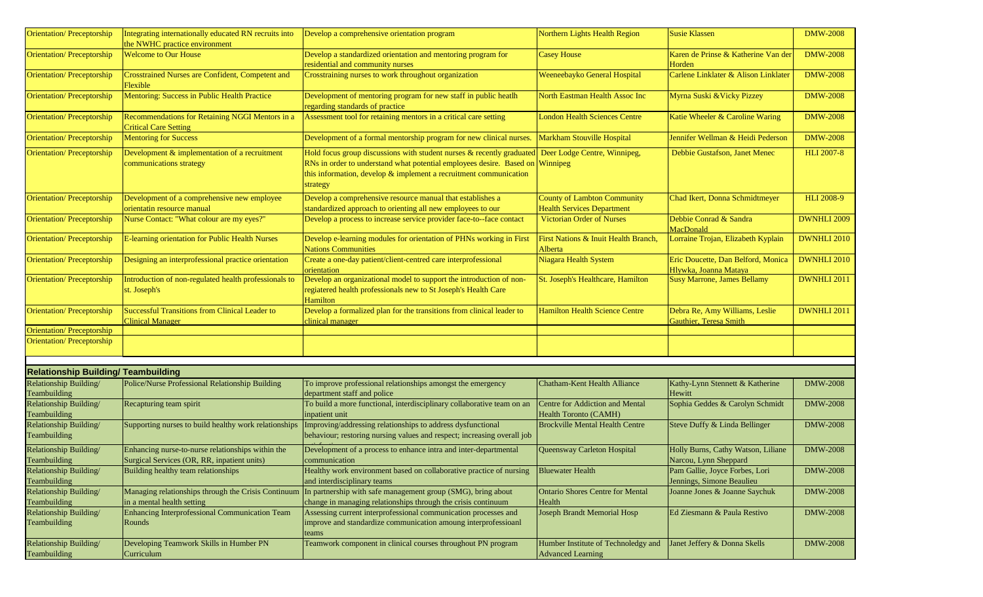| <b>Orientation/Preceptorship</b>           | Integrating internationally educated RN recruits into<br>the NWHC practice environment           | Develop a comprehensive orientation program                                                                                                                                                                                       | Northern Lights Health Region                                   | <b>Susie Klassen</b>                                        | <b>DMW-2008</b>    |
|--------------------------------------------|--------------------------------------------------------------------------------------------------|-----------------------------------------------------------------------------------------------------------------------------------------------------------------------------------------------------------------------------------|-----------------------------------------------------------------|-------------------------------------------------------------|--------------------|
| <b>Orientation/Preceptorship</b>           | <b>Welcome to Our House</b>                                                                      | Develop a standardized orientation and mentoring program for<br>residential and community nurses                                                                                                                                  | <b>Casey House</b>                                              | Karen de Prinse & Katherine Van der<br>Horden               | <b>DMW-2008</b>    |
| <b>Orientation/Preceptorship</b>           | Crosstrained Nurses are Confident, Competent and<br>Flexible                                     | Crosstraining nurses to work throughout organization                                                                                                                                                                              | Weeneebayko General Hospital                                    | Carlene Linklater & Alison Linklater                        | <b>DMW-2008</b>    |
| <b>Orientation/Preceptorship</b>           | Mentoring: Success in Public Health Practice                                                     | Development of mentoring program for new staff in public heatlh<br>regarding standards of practice                                                                                                                                | North Eastman Health Assoc Inc                                  | Myrna Suski & Vicky Pizzey                                  | <b>DMW-2008</b>    |
| <b>Orientation/Preceptorship</b>           | Recommendations for Retaining NGGI Mentors in a<br><b>Critical Care Setting</b>                  | Assessment tool for retaining mentors in a critical care setting                                                                                                                                                                  | <b>London Health Sciences Centre</b>                            | Katie Wheeler & Caroline Waring                             | <b>DMW-2008</b>    |
| <b>Orientation/Preceptorship</b>           | <b>Mentoring for Success</b>                                                                     | Development of a formal mentorship program for new clinical nurses.                                                                                                                                                               | Markham Stouville Hospital                                      | Jennifer Wellman & Heidi Pederson                           | <b>DMW-2008</b>    |
| <b>Orientation/Preceptorship</b>           | Development & implementation of a recruitment<br>communications strategy                         | Hold focus group discussions with student nurses & recently graduated<br>RNs in order to understand what potential employees desire. Based on<br>this information, develop $\&$ implement a recruitment communication<br>strategy | Deer Lodge Centre, Winnipeg,<br>Winnipeg                        | Debbie Gustafson, Janet Menec                               | <b>HLI 2007-8</b>  |
| <b>Orientation/Preceptorship</b>           | Development of a comprehensive new employee                                                      | Develop a comprehensive resource manual that establishes a                                                                                                                                                                        | <b>County of Lambton Community</b>                              | Chad Ikert, Donna Schmidtmeyer                              | <b>HLI 2008-9</b>  |
|                                            | orientatin resource manual                                                                       | standardized approach to orienting all new employees to our                                                                                                                                                                       | <b>Health Services Department</b>                               |                                                             |                    |
| <b>Orientation/Preceptorship</b>           | Nurse Contact: "What colour are my eyes?"                                                        | Develop a process to increase service provider face-to--face contact                                                                                                                                                              | <b>Victorian Order of Nurses</b>                                | Debbie Conrad & Sandra<br>MacDonald                         | <b>DWNHLI 2009</b> |
| <b>Orientation/Preceptorship</b>           | E-learning orientation for Public Health Nurses                                                  | Develop e-learning modules for orientation of PHNs working in First<br><b>Nations Communities</b>                                                                                                                                 | First Nations & Inuit Health Branch,<br>Alberta                 | Lorraine Trojan, Elizabeth Kyplain                          | <b>DWNHLI 2010</b> |
| <b>Orientation/Preceptorship</b>           | Designing an interprofessional practice orientation                                              | Create a one-day patient/client-centred care interprofessional<br>orientation                                                                                                                                                     | Niagara Health System                                           | Eric Doucette, Dan Belford, Monica<br>Hlywka, Joanna Mataya | DWNHLI 2010        |
| <b>Orientation/Preceptorship</b>           | Introduction of non-regulated health professionals to<br>st. Joseph's                            | Develop an organizational model to support the introduction of non-<br>regiatered health professionals new to St Joseph's Health Care<br>Hamilton                                                                                 | St. Joseph's Healthcare, Hamilton                               | <b>Susy Marrone, James Bellamy</b>                          | <b>DWNHLI 2011</b> |
| <b>Orientation/Preceptorship</b>           | <b>Successful Transitions from Clinical Leader to</b><br><b>Clinical Manager</b>                 | Develop a formalized plan for the transitions from clinical leader to<br>clinical manager                                                                                                                                         | <b>Hamilton Health Science Centre</b>                           | Debra Re, Amy Williams, Leslie<br>Gauthier, Teresa Smith    | <b>DWNHLI 2011</b> |
| <b>Orientation/Preceptorship</b>           |                                                                                                  |                                                                                                                                                                                                                                   |                                                                 |                                                             |                    |
| <b>Orientation/Preceptorship</b>           |                                                                                                  |                                                                                                                                                                                                                                   |                                                                 |                                                             |                    |
| <b>Relationship Building/ Teambuilding</b> |                                                                                                  |                                                                                                                                                                                                                                   |                                                                 |                                                             |                    |
| Relationship Building/                     | Police/Nurse Professional Relationship Building                                                  | To improve professional relationships amongst the emergency                                                                                                                                                                       | <b>Chatham-Kent Health Alliance</b>                             | Kathy-Lynn Stennett & Katherine                             | <b>DMW-2008</b>    |
| Teambuilding                               |                                                                                                  | department staff and police                                                                                                                                                                                                       |                                                                 | Hewitt                                                      |                    |
| Relationship Building/<br>Teambuilding     | Recapturing team spirit                                                                          | To build a more functional, interdisciplinary collaborative team on an<br>inpatient unit                                                                                                                                          | Centre for Addiction and Mental<br><b>Health Toronto (CAMH)</b> | Sophia Geddes & Carolyn Schmidt                             | <b>DMW-2008</b>    |
| Relationship Building/<br>Teambuilding     | Supporting nurses to build healthy work relationships                                            | Improving/addressing relationships to address dysfunctional<br>behaviour; restoring nursing values and respect; increasing overall job                                                                                            | <b>Brockville Mental Health Centre</b>                          | Steve Duffy & Linda Bellinger                               | <b>DMW-2008</b>    |
| Relationship Building/<br>Teambuilding     | Enhancing nurse-to-nurse relationships within the<br>Surgical Services (OR, RR, inpatient units) | Development of a process to enhance intra and inter-departmental<br>communication                                                                                                                                                 | Queensway Carleton Hospital                                     | Holly Burns, Cathy Watson, Liliane<br>Narcou, Lynn Sheppard | <b>DMW-2008</b>    |
| Relationship Building/<br>Teambuilding     | Building healthy team relationships                                                              | Healthy work environment based on collaborative practice of nursing<br>and interdisciplinary teams                                                                                                                                | <b>Bluewater Health</b>                                         | Pam Gallie, Joyce Forbes, Lori<br>Jennings, Simone Beaulieu | <b>DMW-2008</b>    |
| Relationship Building/<br>Teambuilding     | in a mental health setting                                                                       | Managing relationships through the Crisis Continuum In partnership with safe management group (SMG), bring about<br>change in managing relationships through the crisis continuum                                                 | <b>Ontario Shores Centre for Mental</b><br>Health               | Joanne Jones & Joanne Saychuk                               | <b>DMW-2008</b>    |
| Relationship Building/<br>Teambuilding     | Enhancing Interprofessional Communication Team<br>Rounds                                         | Assessing current interprofessional communication processes and<br>improve and standardize communication amoung interprofessioanl<br>teams                                                                                        | Joseph Brandt Memorial Hosp                                     | Ed Ziesmann & Paula Restivo                                 | <b>DMW-2008</b>    |
| Relationship Building/<br>Teambuilding     | Developing Teamwork Skills in Humber PN<br>Curriculum                                            | Teamwork component in clinical courses throughout PN program                                                                                                                                                                      | Humber Institute of Technoledgy and<br><b>Advanced Learning</b> | Janet Jeffery & Donna Skells                                | <b>DMW-2008</b>    |